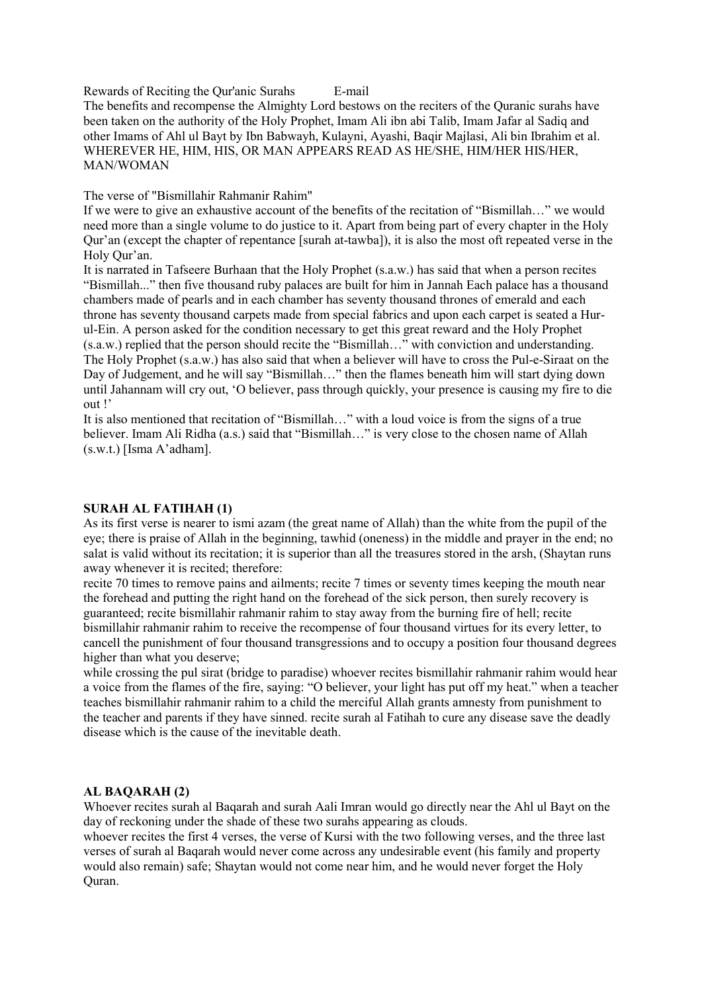Rewards of Reciting the Qur'anic Surahs E-mail The benefits and recompense the Almighty Lord bestows on the reciters of the Quranic surahs have been taken on the authority of the Holy Prophet, Imam Ali ibn abi Talib, Imam Jafar al Sadiq and other Imams of Ahl ul Bayt by Ibn Babwayh, Kulayni, Ayashi, Baqir Majlasi, Ali bin Ibrahim et al. WHEREVER HE, HIM, HIS, OR MAN APPEARS READ AS HE/SHE, HIM/HER HIS/HER, MAN/WOMAN

The verse of "Bismillahir Rahmanir Rahim"

If we were to give an exhaustive account of the benefits of the recitation of "Bismillah…" we would need more than a single volume to do justice to it. Apart from being part of every chapter in the Holy Qur'an (except the chapter of repentance [surah at-tawba]), it is also the most oft repeated verse in the Holy Qur'an.

It is narrated in Tafseere Burhaan that the Holy Prophet (s.a.w.) has said that when a person recites "Bismillah..." then five thousand ruby palaces are built for him in Jannah Each palace has a thousand chambers made of pearls and in each chamber has seventy thousand thrones of emerald and each throne has seventy thousand carpets made from special fabrics and upon each carpet is seated a Hurul-Ein. A person asked for the condition necessary to get this great reward and the Holy Prophet (s.a.w.) replied that the person should recite the "Bismillah..." with conviction and understanding. The Holy Prophet (s.a.w.) has also said that when a believer will have to cross the Pul-e-Siraat on the Day of Judgement, and he will say "Bismillah…" then the flames beneath him will start dying down until Jahannam will cry out, 'O believer, pass through quickly, your presence is causing my fire to die out !'

It is also mentioned that recitation of "Bismillah…" with a loud voice is from the signs of a true believer. Imam Ali Ridha (a.s.) said that "Bismillah…" is very close to the chosen name of Allah (s.w.t.) [Isma A'adham].

## SURAH AL FATIHAH (1)

As its first verse is nearer to ismi azam (the great name of Allah) than the white from the pupil of the eye; there is praise of Allah in the beginning, tawhid (oneness) in the middle and prayer in the end; no salat is valid without its recitation; it is superior than all the treasures stored in the arsh, (Shaytan runs away whenever it is recited; therefore:

recite 70 times to remove pains and ailments; recite 7 times or seventy times keeping the mouth near the forehead and putting the right hand on the forehead of the sick person, then surely recovery is guaranteed; recite bismillahir rahmanir rahim to stay away from the burning fire of hell; recite bismillahir rahmanir rahim to receive the recompense of four thousand virtues for its every letter, to cancell the punishment of four thousand transgressions and to occupy a position four thousand degrees higher than what you deserve;

while crossing the pul sirat (bridge to paradise) whoever recites bismillahir rahmanir rahim would hear a voice from the flames of the fire, saying: "O believer, your light has put off my heat." when a teacher teaches bismillahir rahmanir rahim to a child the merciful Allah grants amnesty from punishment to the teacher and parents if they have sinned. recite surah al Fatihah to cure any disease save the deadly disease which is the cause of the inevitable death.

## AL BAQARAH (2)

Whoever recites surah al Baqarah and surah Aali Imran would go directly near the Ahl ul Bayt on the day of reckoning under the shade of these two surahs appearing as clouds.

whoever recites the first 4 verses, the verse of Kursi with the two following verses, and the three last verses of surah al Baqarah would never come across any undesirable event (his family and property would also remain) safe; Shaytan would not come near him, and he would never forget the Holy Quran.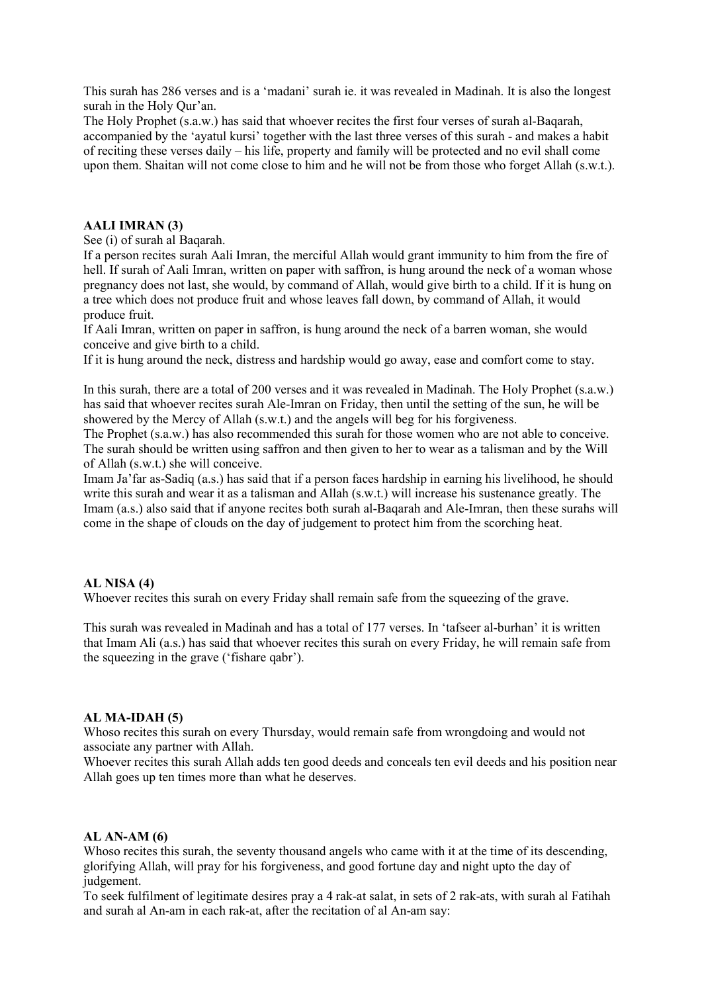This surah has 286 verses and is a 'madani' surah ie. it was revealed in Madinah. It is also the longest surah in the Holy Qur'an.

The Holy Prophet (s.a.w.) has said that whoever recites the first four verses of surah al-Baqarah, accompanied by the 'ayatul kursi' together with the last three verses of this surah - and makes a habit of reciting these verses daily – his life, property and family will be protected and no evil shall come upon them. Shaitan will not come close to him and he will not be from those who forget Allah (s.w.t.).

# AALI IMRAN (3)

See (i) of surah al Baqarah.

If a person recites surah Aali Imran, the merciful Allah would grant immunity to him from the fire of hell. If surah of Aali Imran, written on paper with saffron, is hung around the neck of a woman whose pregnancy does not last, she would, by command of Allah, would give birth to a child. If it is hung on a tree which does not produce fruit and whose leaves fall down, by command of Allah, it would produce fruit.

If Aali Imran, written on paper in saffron, is hung around the neck of a barren woman, she would conceive and give birth to a child.

If it is hung around the neck, distress and hardship would go away, ease and comfort come to stay.

In this surah, there are a total of 200 verses and it was revealed in Madinah. The Holy Prophet (s.a.w.) has said that whoever recites surah Ale-Imran on Friday, then until the setting of the sun, he will be showered by the Mercy of Allah (s.w.t.) and the angels will beg for his forgiveness.

The Prophet (s.a.w.) has also recommended this surah for those women who are not able to conceive. The surah should be written using saffron and then given to her to wear as a talisman and by the Will of Allah (s.w.t.) she will conceive.

Imam Ja'far as-Sadiq (a.s.) has said that if a person faces hardship in earning his livelihood, he should write this surah and wear it as a talisman and Allah (s.w.t.) will increase his sustenance greatly. The Imam (a.s.) also said that if anyone recites both surah al-Baqarah and Ale-Imran, then these surahs will come in the shape of clouds on the day of judgement to protect him from the scorching heat.

#### AL NISA (4)

Whoever recites this surah on every Friday shall remain safe from the squeezing of the grave.

This surah was revealed in Madinah and has a total of 177 verses. In 'tafseer al-burhan' it is written that Imam Ali (a.s.) has said that whoever recites this surah on every Friday, he will remain safe from the squeezing in the grave ('fishare qabr').

#### AL MA-IDAH (5)

Whoso recites this surah on every Thursday, would remain safe from wrongdoing and would not associate any partner with Allah.

Whoever recites this surah Allah adds ten good deeds and conceals ten evil deeds and his position near Allah goes up ten times more than what he deserves.

#### AL AN-AM (6)

Whoso recites this surah, the seventy thousand angels who came with it at the time of its descending, glorifying Allah, will pray for his forgiveness, and good fortune day and night upto the day of judgement.

To seek fulfilment of legitimate desires pray a 4 rak-at salat, in sets of 2 rak-ats, with surah al Fatihah and surah al An-am in each rak-at, after the recitation of al An-am say: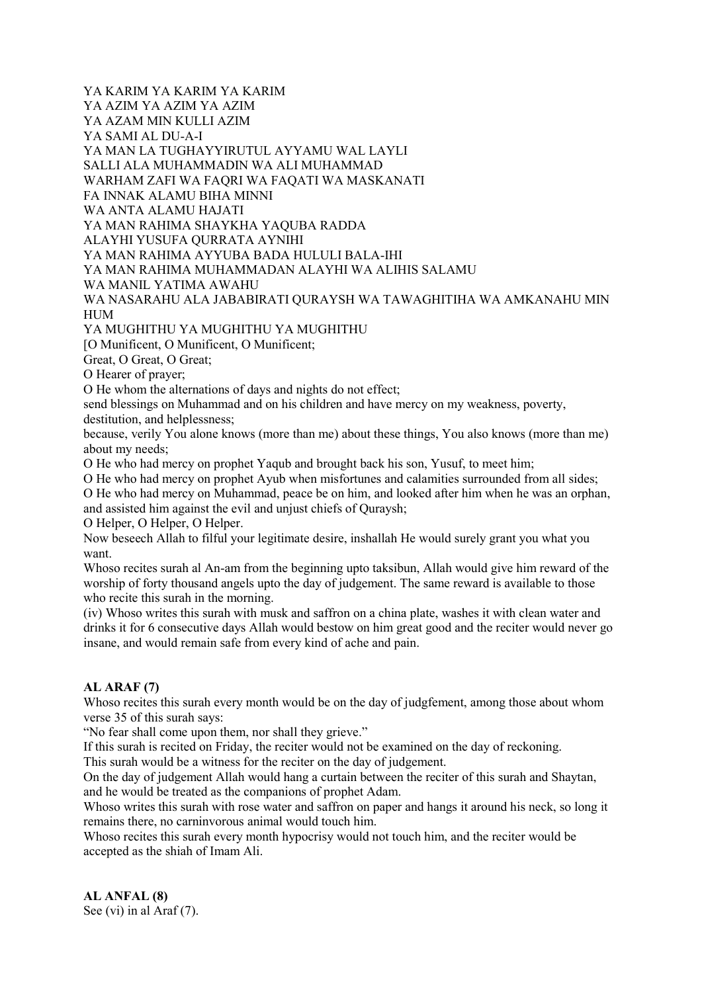YA KARIM YA KARIM YA KARIM YA AZIM YA AZIM YA AZIM YA AZAM MIN KULLI AZIM YA SAMI AL DU-A-I YA MAN LA TUGHAYYIRUTUL AYYAMU WAL LAYLI SALLI ALA MUHAMMADIN WA ALI MUHAMMAD WARHAM ZAFI WA FAQRI WA FAQATI WA MASKANATI FA INNAK ALAMU BIHA MINNI WA ANTA ALAMU HAJATI YA MAN RAHIMA SHAYKHA YAQUBA RADDA ALAYHI YUSUFA QURRATA AYNIHI YA MAN RAHIMA AYYUBA BADA HULULI BALA-IHI YA MAN RAHIMA MUHAMMADAN ALAYHI WA ALIHIS SALAMU WA MANIL YATIMA AWAHU WA NASARAHU ALA JABABIRATI QURAYSH WA TAWAGHITIHA WA AMKANAHU MIN HUM

YA MUGHITHU YA MUGHITHU YA MUGHITHU [O Munificent, O Munificent, O Munificent;

Great, O Great, O Great;

O Hearer of prayer;

O He whom the alternations of days and nights do not effect;

send blessings on Muhammad and on his children and have mercy on my weakness, poverty,

destitution, and helplessness;

because, verily You alone knows (more than me) about these things, You also knows (more than me) about my needs;

O He who had mercy on prophet Yaqub and brought back his son, Yusuf, to meet him;

O He who had mercy on prophet Ayub when misfortunes and calamities surrounded from all sides;

O He who had mercy on Muhammad, peace be on him, and looked after him when he was an orphan, and assisted him against the evil and unjust chiefs of Quraysh;

O Helper, O Helper, O Helper.

Now beseech Allah to filful your legitimate desire, inshallah He would surely grant you what you want.

Whoso recites surah al An-am from the beginning upto taksibun, Allah would give him reward of the worship of forty thousand angels upto the day of judgement. The same reward is available to those who recite this surah in the morning.

(iv) Whoso writes this surah with musk and saffron on a china plate, washes it with clean water and drinks it for 6 consecutive days Allah would bestow on him great good and the reciter would never go insane, and would remain safe from every kind of ache and pain.

# AL ARAF (7)

Whoso recites this surah every month would be on the day of judgfement, among those about whom verse 35 of this surah says:

"No fear shall come upon them, nor shall they grieve."

If this surah is recited on Friday, the reciter would not be examined on the day of reckoning.

This surah would be a witness for the reciter on the day of judgement.

On the day of judgement Allah would hang a curtain between the reciter of this surah and Shaytan, and he would be treated as the companions of prophet Adam.

Whoso writes this surah with rose water and saffron on paper and hangs it around his neck, so long it remains there, no carninvorous animal would touch him.

Whoso recites this surah every month hypocrisy would not touch him, and the reciter would be accepted as the shiah of Imam Ali.

AL ANFAL (8) See (vi) in al Araf (7).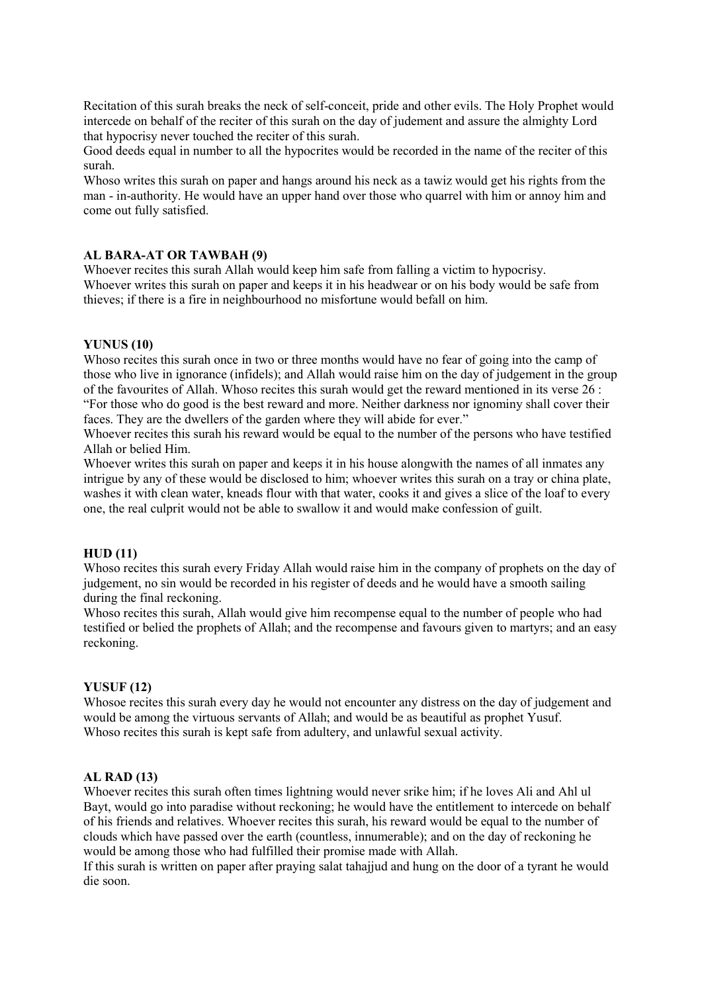Recitation of this surah breaks the neck of self-conceit, pride and other evils. The Holy Prophet would intercede on behalf of the reciter of this surah on the day of judement and assure the almighty Lord that hypocrisy never touched the reciter of this surah.

Good deeds equal in number to all the hypocrites would be recorded in the name of the reciter of this surah.

Whoso writes this surah on paper and hangs around his neck as a tawiz would get his rights from the man - in-authority. He would have an upper hand over those who quarrel with him or annoy him and come out fully satisfied.

#### AL BARA-AT OR TAWBAH (9)

Whoever recites this surah Allah would keep him safe from falling a victim to hypocrisy. Whoever writes this surah on paper and keeps it in his headwear or on his body would be safe from thieves; if there is a fire in neighbourhood no misfortune would befall on him.

#### YUNUS (10)

Whoso recites this surah once in two or three months would have no fear of going into the camp of those who live in ignorance (infidels); and Allah would raise him on the day of judgement in the group of the favourites of Allah. Whoso recites this surah would get the reward mentioned in its verse 26 : "For those who do good is the best reward and more. Neither darkness nor ignominy shall cover their faces. They are the dwellers of the garden where they will abide for ever."

Whoever recites this surah his reward would be equal to the number of the persons who have testified Allah or belied Him.

Whoever writes this surah on paper and keeps it in his house alongwith the names of all inmates any intrigue by any of these would be disclosed to him; whoever writes this surah on a tray or china plate, washes it with clean water, kneads flour with that water, cooks it and gives a slice of the loaf to every one, the real culprit would not be able to swallow it and would make confession of guilt.

#### HUD (11)

Whoso recites this surah every Friday Allah would raise him in the company of prophets on the day of judgement, no sin would be recorded in his register of deeds and he would have a smooth sailing during the final reckoning.

Whoso recites this surah, Allah would give him recompense equal to the number of people who had testified or belied the prophets of Allah; and the recompense and favours given to martyrs; and an easy reckoning.

#### YUSUF (12)

Whosoe recites this surah every day he would not encounter any distress on the day of judgement and would be among the virtuous servants of Allah; and would be as beautiful as prophet Yusuf. Whoso recites this surah is kept safe from adultery, and unlawful sexual activity.

#### AL RAD (13)

Whoever recites this surah often times lightning would never srike him; if he loves Ali and Ahl ul Bayt, would go into paradise without reckoning; he would have the entitlement to intercede on behalf of his friends and relatives. Whoever recites this surah, his reward would be equal to the number of clouds which have passed over the earth (countless, innumerable); and on the day of reckoning he would be among those who had fulfilled their promise made with Allah.

If this surah is written on paper after praying salat tahajjud and hung on the door of a tyrant he would die soon.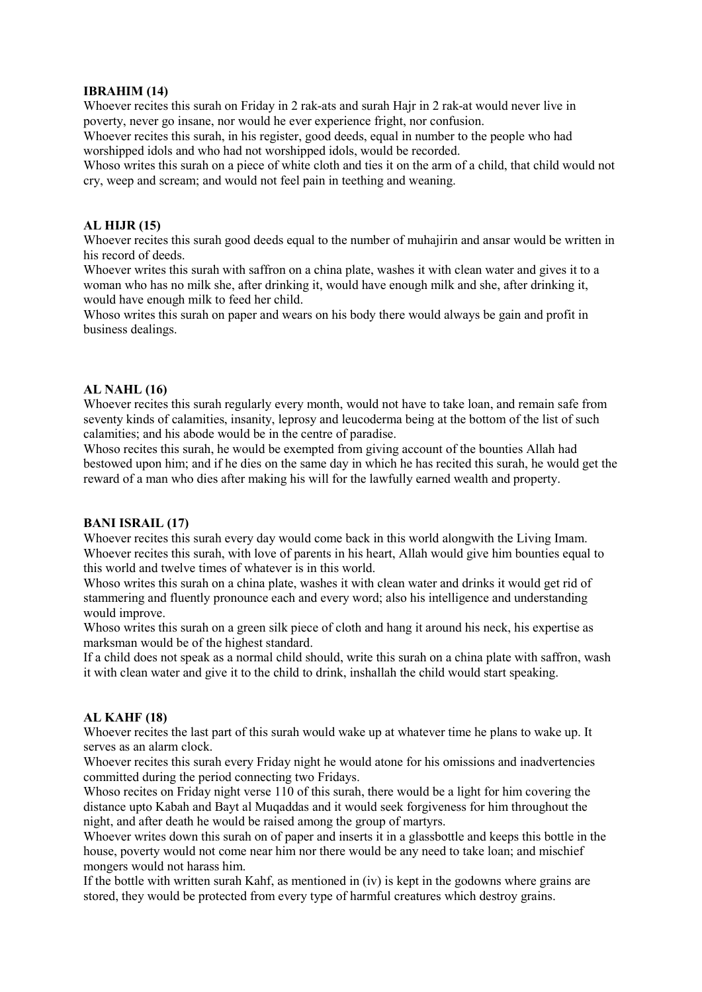#### IBRAHIM (14)

Whoever recites this surah on Friday in 2 rak-ats and surah Hajr in 2 rak-at would never live in poverty, never go insane, nor would he ever experience fright, nor confusion.

Whoever recites this surah, in his register, good deeds, equal in number to the people who had worshipped idols and who had not worshipped idols, would be recorded.

Whoso writes this surah on a piece of white cloth and ties it on the arm of a child, that child would not cry, weep and scream; and would not feel pain in teething and weaning.

## AL HIJR (15)

Whoever recites this surah good deeds equal to the number of muhajirin and ansar would be written in his record of deeds.

Whoever writes this surah with saffron on a china plate, washes it with clean water and gives it to a woman who has no milk she, after drinking it, would have enough milk and she, after drinking it, would have enough milk to feed her child.

Whoso writes this surah on paper and wears on his body there would always be gain and profit in business dealings.

#### AL NAHL (16)

Whoever recites this surah regularly every month, would not have to take loan, and remain safe from seventy kinds of calamities, insanity, leprosy and leucoderma being at the bottom of the list of such calamities; and his abode would be in the centre of paradise.

Whoso recites this surah, he would be exempted from giving account of the bounties Allah had bestowed upon him; and if he dies on the same day in which he has recited this surah, he would get the reward of a man who dies after making his will for the lawfully earned wealth and property.

#### BANI ISRAIL (17)

Whoever recites this surah every day would come back in this world alongwith the Living Imam. Whoever recites this surah, with love of parents in his heart, Allah would give him bounties equal to this world and twelve times of whatever is in this world.

Whoso writes this surah on a china plate, washes it with clean water and drinks it would get rid of stammering and fluently pronounce each and every word; also his intelligence and understanding would improve.

Whoso writes this surah on a green silk piece of cloth and hang it around his neck, his expertise as marksman would be of the highest standard.

If a child does not speak as a normal child should, write this surah on a china plate with saffron, wash it with clean water and give it to the child to drink, inshallah the child would start speaking.

## AL KAHF (18)

Whoever recites the last part of this surah would wake up at whatever time he plans to wake up. It serves as an alarm clock.

Whoever recites this surah every Friday night he would atone for his omissions and inadvertencies committed during the period connecting two Fridays.

Whoso recites on Friday night verse 110 of this surah, there would be a light for him covering the distance upto Kabah and Bayt al Muqaddas and it would seek forgiveness for him throughout the night, and after death he would be raised among the group of martyrs.

Whoever writes down this surah on of paper and inserts it in a glassbottle and keeps this bottle in the house, poverty would not come near him nor there would be any need to take loan; and mischief mongers would not harass him.

If the bottle with written surah Kahf, as mentioned in (iv) is kept in the godowns where grains are stored, they would be protected from every type of harmful creatures which destroy grains.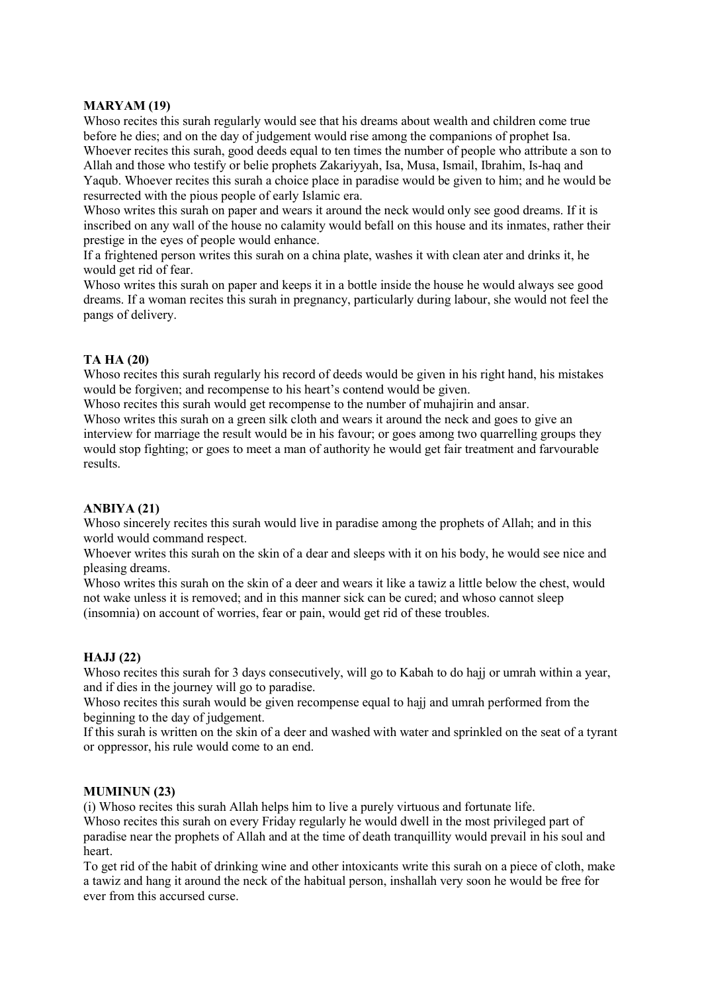## MARYAM (19)

Whoso recites this surah regularly would see that his dreams about wealth and children come true before he dies; and on the day of judgement would rise among the companions of prophet Isa. Whoever recites this surah, good deeds equal to ten times the number of people who attribute a son to Allah and those who testify or belie prophets Zakariyyah, Isa, Musa, Ismail, Ibrahim, Is-haq and

Yaqub. Whoever recites this surah a choice place in paradise would be given to him; and he would be resurrected with the pious people of early Islamic era.

Whoso writes this surah on paper and wears it around the neck would only see good dreams. If it is inscribed on any wall of the house no calamity would befall on this house and its inmates, rather their prestige in the eyes of people would enhance.

If a frightened person writes this surah on a china plate, washes it with clean ater and drinks it, he would get rid of fear.

Whoso writes this surah on paper and keeps it in a bottle inside the house he would always see good dreams. If a woman recites this surah in pregnancy, particularly during labour, she would not feel the pangs of delivery.

## TA HA (20)

Whoso recites this surah regularly his record of deeds would be given in his right hand, his mistakes would be forgiven; and recompense to his heart's contend would be given.

Whoso recites this surah would get recompense to the number of muhajirin and ansar.

Whoso writes this surah on a green silk cloth and wears it around the neck and goes to give an interview for marriage the result would be in his favour; or goes among two quarrelling groups they would stop fighting; or goes to meet a man of authority he would get fair treatment and farvourable results.

## ANBIYA (21)

Whoso sincerely recites this surah would live in paradise among the prophets of Allah; and in this world would command respect.

Whoever writes this surah on the skin of a dear and sleeps with it on his body, he would see nice and pleasing dreams.

Whoso writes this surah on the skin of a deer and wears it like a tawiz a little below the chest, would not wake unless it is removed; and in this manner sick can be cured; and whoso cannot sleep (insomnia) on account of worries, fear or pain, would get rid of these troubles.

## HAJJ (22)

Whoso recites this surah for 3 days consecutively, will go to Kabah to do hajj or umrah within a year, and if dies in the journey will go to paradise.

Whoso recites this surah would be given recompense equal to hajj and umrah performed from the beginning to the day of judgement.

If this surah is written on the skin of a deer and washed with water and sprinkled on the seat of a tyrant or oppressor, his rule would come to an end.

## MUMINUN (23)

(i) Whoso recites this surah Allah helps him to live a purely virtuous and fortunate life.

Whoso recites this surah on every Friday regularly he would dwell in the most privileged part of paradise near the prophets of Allah and at the time of death tranquillity would prevail in his soul and heart.

To get rid of the habit of drinking wine and other intoxicants write this surah on a piece of cloth, make a tawiz and hang it around the neck of the habitual person, inshallah very soon he would be free for ever from this accursed curse.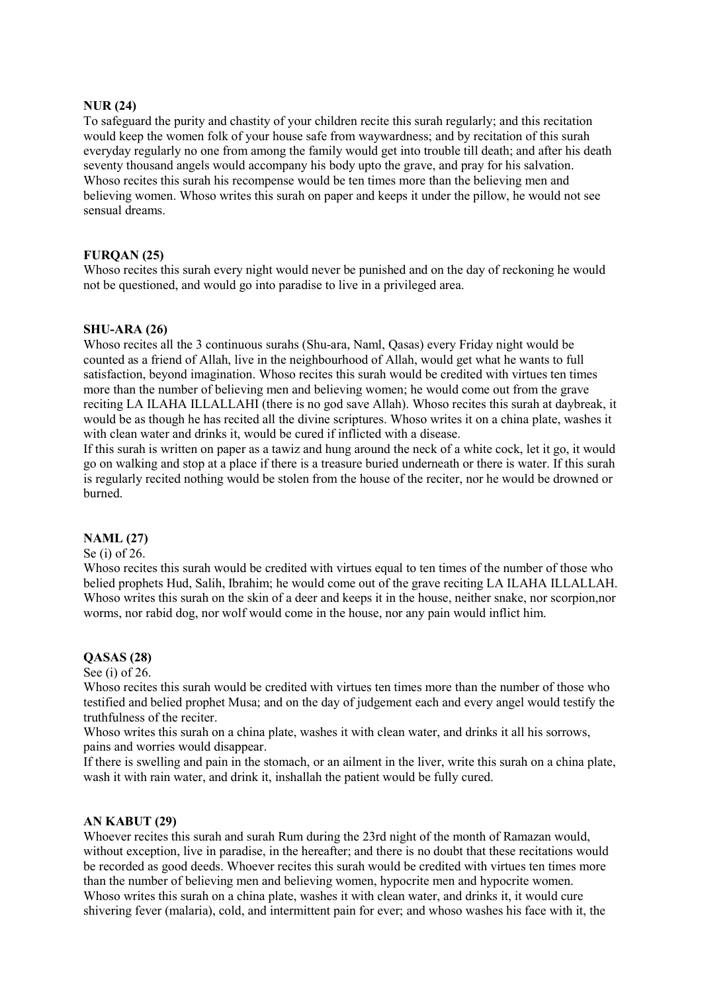#### NUR (24)

To safeguard the purity and chastity of your children recite this surah regularly; and this recitation would keep the women folk of your house safe from waywardness; and by recitation of this surah everyday regularly no one from among the family would get into trouble till death; and after his death seventy thousand angels would accompany his body upto the grave, and pray for his salvation. Whoso recites this surah his recompense would be ten times more than the believing men and believing women. Whoso writes this surah on paper and keeps it under the pillow, he would not see sensual dreams.

#### FURQAN (25)

Whoso recites this surah every night would never be punished and on the day of reckoning he would not be questioned, and would go into paradise to live in a privileged area.

#### SHU-ARA (26)

Whoso recites all the 3 continuous surahs (Shu-ara, Naml, Qasas) every Friday night would be counted as a friend of Allah, live in the neighbourhood of Allah, would get what he wants to full satisfaction, beyond imagination. Whoso recites this surah would be credited with virtues ten times more than the number of believing men and believing women; he would come out from the grave reciting LA ILAHA ILLALLAHI (there is no god save Allah). Whoso recites this surah at daybreak, it would be as though he has recited all the divine scriptures. Whoso writes it on a china plate, washes it with clean water and drinks it, would be cured if inflicted with a disease.

If this surah is written on paper as a tawiz and hung around the neck of a white cock, let it go, it would go on walking and stop at a place if there is a treasure buried underneath or there is water. If this surah is regularly recited nothing would be stolen from the house of the reciter, nor he would be drowned or burned.

#### NAML (27)

#### Se (i) of 26.

Whoso recites this surah would be credited with virtues equal to ten times of the number of those who belied prophets Hud, Salih, Ibrahim; he would come out of the grave reciting LA ILAHA ILLALLAH. Whoso writes this surah on the skin of a deer and keeps it in the house, neither snake, nor scorpion, nor worms, nor rabid dog, nor wolf would come in the house, nor any pain would inflict him.

#### QASAS (28)

#### See (i) of 26.

Whoso recites this surah would be credited with virtues ten times more than the number of those who testified and belied prophet Musa; and on the day of judgement each and every angel would testify the truthfulness of the reciter.

Whoso writes this surah on a china plate, washes it with clean water, and drinks it all his sorrows, pains and worries would disappear.

If there is swelling and pain in the stomach, or an ailment in the liver, write this surah on a china plate, wash it with rain water, and drink it, inshallah the patient would be fully cured.

#### AN KABUT (29)

Whoever recites this surah and surah Rum during the 23rd night of the month of Ramazan would, without exception, live in paradise, in the hereafter; and there is no doubt that these recitations would be recorded as good deeds. Whoever recites this surah would be credited with virtues ten times more than the number of believing men and believing women, hypocrite men and hypocrite women. Whoso writes this surah on a china plate, washes it with clean water, and drinks it, it would cure shivering fever (malaria), cold, and intermittent pain for ever; and whoso washes his face with it, the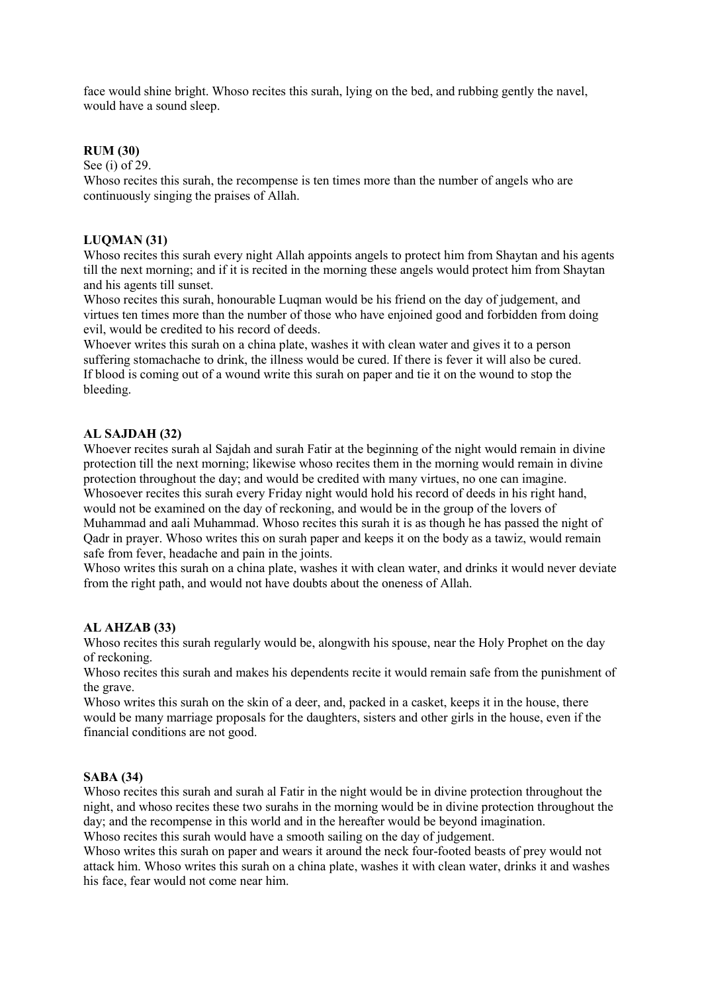face would shine bright. Whoso recites this surah, lying on the bed, and rubbing gently the navel, would have a sound sleep.

## RUM (30)

See (i) of 29.

Whoso recites this surah, the recompense is ten times more than the number of angels who are continuously singing the praises of Allah.

## LUQMAN (31)

Whoso recites this surah every night Allah appoints angels to protect him from Shaytan and his agents till the next morning; and if it is recited in the morning these angels would protect him from Shaytan and his agents till sunset.

Whoso recites this surah, honourable Luqman would be his friend on the day of judgement, and virtues ten times more than the number of those who have enjoined good and forbidden from doing evil, would be credited to his record of deeds.

Whoever writes this surah on a china plate, washes it with clean water and gives it to a person suffering stomachache to drink, the illness would be cured. If there is fever it will also be cured. If blood is coming out of a wound write this surah on paper and tie it on the wound to stop the bleeding.

# AL SAJDAH (32)

Whoever recites surah al Sajdah and surah Fatir at the beginning of the night would remain in divine protection till the next morning; likewise whoso recites them in the morning would remain in divine protection throughout the day; and would be credited with many virtues, no one can imagine. Whosoever recites this surah every Friday night would hold his record of deeds in his right hand, would not be examined on the day of reckoning, and would be in the group of the lovers of Muhammad and aali Muhammad. Whoso recites this surah it is as though he has passed the night of Qadr in prayer. Whoso writes this on surah paper and keeps it on the body as a tawiz, would remain safe from fever, headache and pain in the joints.

Whoso writes this surah on a china plate, washes it with clean water, and drinks it would never deviate from the right path, and would not have doubts about the oneness of Allah.

## AL AHZAB (33)

Whoso recites this surah regularly would be, alongwith his spouse, near the Holy Prophet on the day of reckoning.

Whoso recites this surah and makes his dependents recite it would remain safe from the punishment of the grave.

Whoso writes this surah on the skin of a deer, and, packed in a casket, keeps it in the house, there would be many marriage proposals for the daughters, sisters and other girls in the house, even if the financial conditions are not good.

## SABA (34)

Whoso recites this surah and surah al Fatir in the night would be in divine protection throughout the night, and whoso recites these two surahs in the morning would be in divine protection throughout the day; and the recompense in this world and in the hereafter would be beyond imagination. Whoso recites this surah would have a smooth sailing on the day of judgement.

Whoso writes this surah on paper and wears it around the neck four-footed beasts of prey would not attack him. Whoso writes this surah on a china plate, washes it with clean water, drinks it and washes his face, fear would not come near him.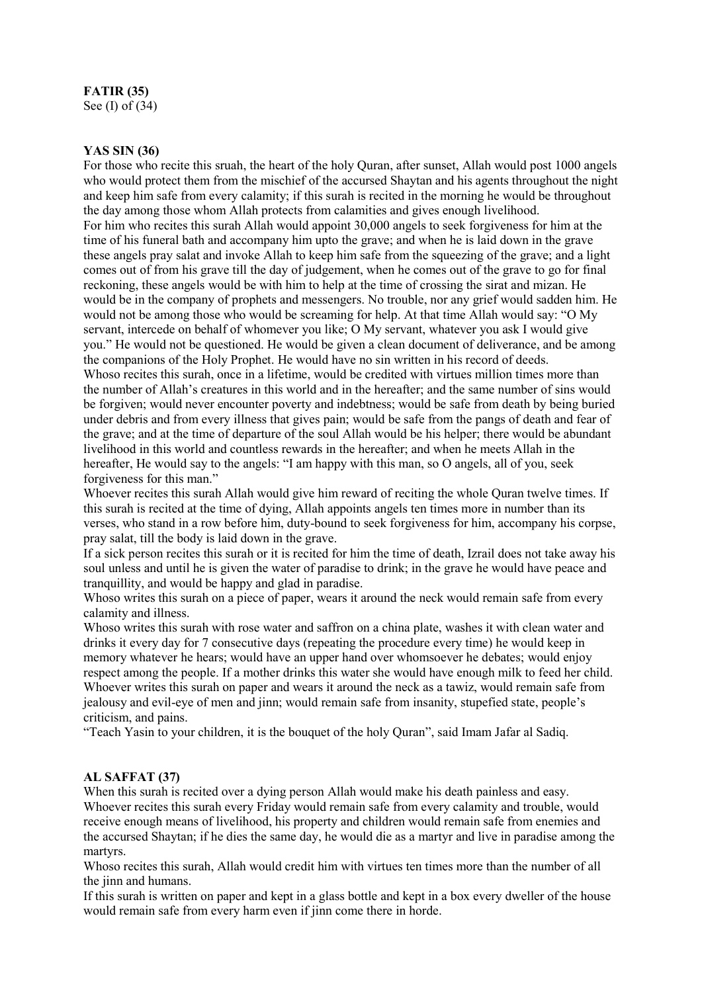# FATIR (35)

See (I) of (34)

## YAS SIN (36)

For those who recite this sruah, the heart of the holy Quran, after sunset, Allah would post 1000 angels who would protect them from the mischief of the accursed Shaytan and his agents throughout the night and keep him safe from every calamity; if this surah is recited in the morning he would be throughout the day among those whom Allah protects from calamities and gives enough livelihood. For him who recites this surah Allah would appoint 30,000 angels to seek forgiveness for him at the time of his funeral bath and accompany him upto the grave; and when he is laid down in the grave these angels pray salat and invoke Allah to keep him safe from the squeezing of the grave; and a light comes out of from his grave till the day of judgement, when he comes out of the grave to go for final reckoning, these angels would be with him to help at the time of crossing the sirat and mizan. He would be in the company of prophets and messengers. No trouble, nor any grief would sadden him. He would not be among those who would be screaming for help. At that time Allah would say: "O My servant, intercede on behalf of whomever you like; O My servant, whatever you ask I would give you." He would not be questioned. He would be given a clean document of deliverance, and be among the companions of the Holy Prophet. He would have no sin written in his record of deeds. Whoso recites this surah, once in a lifetime, would be credited with virtues million times more than the number of Allah's creatures in this world and in the hereafter; and the same number of sins would be forgiven; would never encounter poverty and indebtness; would be safe from death by being buried under debris and from every illness that gives pain; would be safe from the pangs of death and fear of the grave; and at the time of departure of the soul Allah would be his helper; there would be abundant livelihood in this world and countless rewards in the hereafter; and when he meets Allah in the hereafter, He would say to the angels: "I am happy with this man, so O angels, all of you, seek forgiveness for this man."

Whoever recites this surah Allah would give him reward of reciting the whole Quran twelve times. If this surah is recited at the time of dying, Allah appoints angels ten times more in number than its verses, who stand in a row before him, duty-bound to seek forgiveness for him, accompany his corpse, pray salat, till the body is laid down in the grave.

If a sick person recites this surah or it is recited for him the time of death, Izrail does not take away his soul unless and until he is given the water of paradise to drink; in the grave he would have peace and tranquillity, and would be happy and glad in paradise.

Whoso writes this surah on a piece of paper, wears it around the neck would remain safe from every calamity and illness.

Whoso writes this surah with rose water and saffron on a china plate, washes it with clean water and drinks it every day for 7 consecutive days (repeating the procedure every time) he would keep in memory whatever he hears; would have an upper hand over whomsoever he debates; would enjoy respect among the people. If a mother drinks this water she would have enough milk to feed her child. Whoever writes this surah on paper and wears it around the neck as a tawiz, would remain safe from jealousy and evil-eye of men and jinn; would remain safe from insanity, stupefied state, people's criticism, and pains.

"Teach Yasin to your children, it is the bouquet of the holy Quran", said Imam Jafar al Sadiq.

## AL SAFFAT (37)

When this surah is recited over a dying person Allah would make his death painless and easy. Whoever recites this surah every Friday would remain safe from every calamity and trouble, would receive enough means of livelihood, his property and children would remain safe from enemies and the accursed Shaytan; if he dies the same day, he would die as a martyr and live in paradise among the martyrs.

Whoso recites this surah, Allah would credit him with virtues ten times more than the number of all the jinn and humans.

If this surah is written on paper and kept in a glass bottle and kept in a box every dweller of the house would remain safe from every harm even if jinn come there in horde.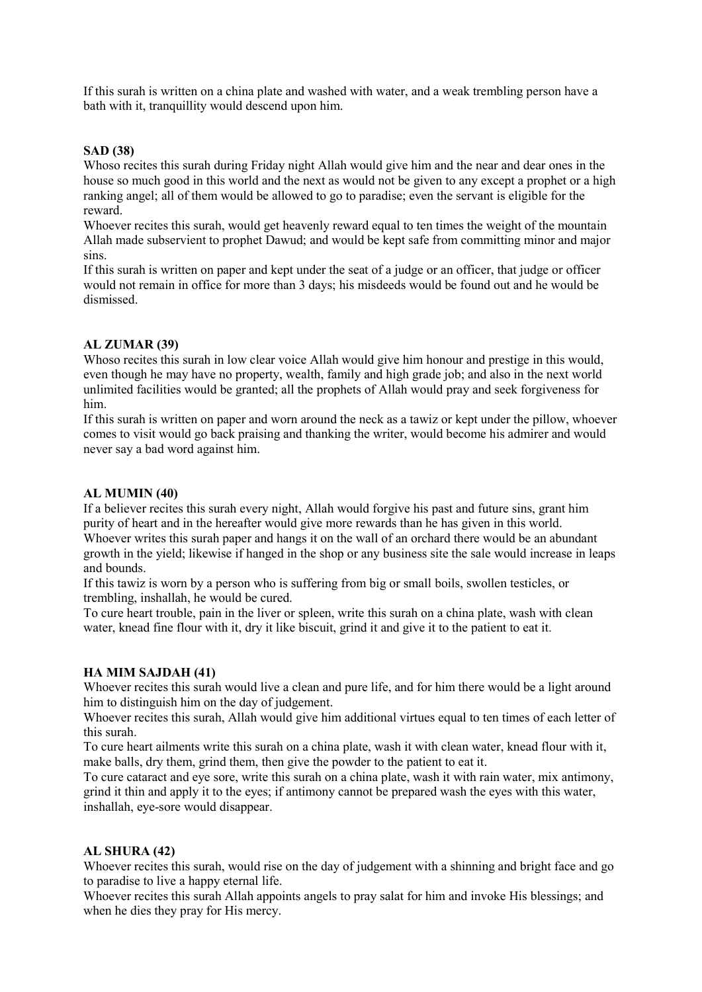If this surah is written on a china plate and washed with water, and a weak trembling person have a bath with it, tranquillity would descend upon him.

## SAD (38)

Whoso recites this surah during Friday night Allah would give him and the near and dear ones in the house so much good in this world and the next as would not be given to any except a prophet or a high ranking angel; all of them would be allowed to go to paradise; even the servant is eligible for the reward.

Whoever recites this surah, would get heavenly reward equal to ten times the weight of the mountain Allah made subservient to prophet Dawud; and would be kept safe from committing minor and major sins.

If this surah is written on paper and kept under the seat of a judge or an officer, that judge or officer would not remain in office for more than 3 days; his misdeeds would be found out and he would be dismissed.

# AL ZUMAR (39)

Whoso recites this surah in low clear voice Allah would give him honour and prestige in this would, even though he may have no property, wealth, family and high grade job; and also in the next world unlimited facilities would be granted; all the prophets of Allah would pray and seek forgiveness for him.

If this surah is written on paper and worn around the neck as a tawiz or kept under the pillow, whoever comes to visit would go back praising and thanking the writer, would become his admirer and would never say a bad word against him.

## AL MUMIN (40)

If a believer recites this surah every night, Allah would forgive his past and future sins, grant him purity of heart and in the hereafter would give more rewards than he has given in this world. Whoever writes this surah paper and hangs it on the wall of an orchard there would be an abundant growth in the yield; likewise if hanged in the shop or any business site the sale would increase in leaps and bounds.

If this tawiz is worn by a person who is suffering from big or small boils, swollen testicles, or trembling, inshallah, he would be cured.

To cure heart trouble, pain in the liver or spleen, write this surah on a china plate, wash with clean water, knead fine flour with it, dry it like biscuit, grind it and give it to the patient to eat it.

## HA MIM SAJDAH (41)

Whoever recites this surah would live a clean and pure life, and for him there would be a light around him to distinguish him on the day of judgement.

Whoever recites this surah, Allah would give him additional virtues equal to ten times of each letter of this surah.

To cure heart ailments write this surah on a china plate, wash it with clean water, knead flour with it, make balls, dry them, grind them, then give the powder to the patient to eat it.

To cure cataract and eye sore, write this surah on a china plate, wash it with rain water, mix antimony, grind it thin and apply it to the eyes; if antimony cannot be prepared wash the eyes with this water, inshallah, eye-sore would disappear.

## AL SHURA (42)

Whoever recites this surah, would rise on the day of judgement with a shinning and bright face and go to paradise to live a happy eternal life.

Whoever recites this surah Allah appoints angels to pray salat for him and invoke His blessings; and when he dies they pray for His mercy.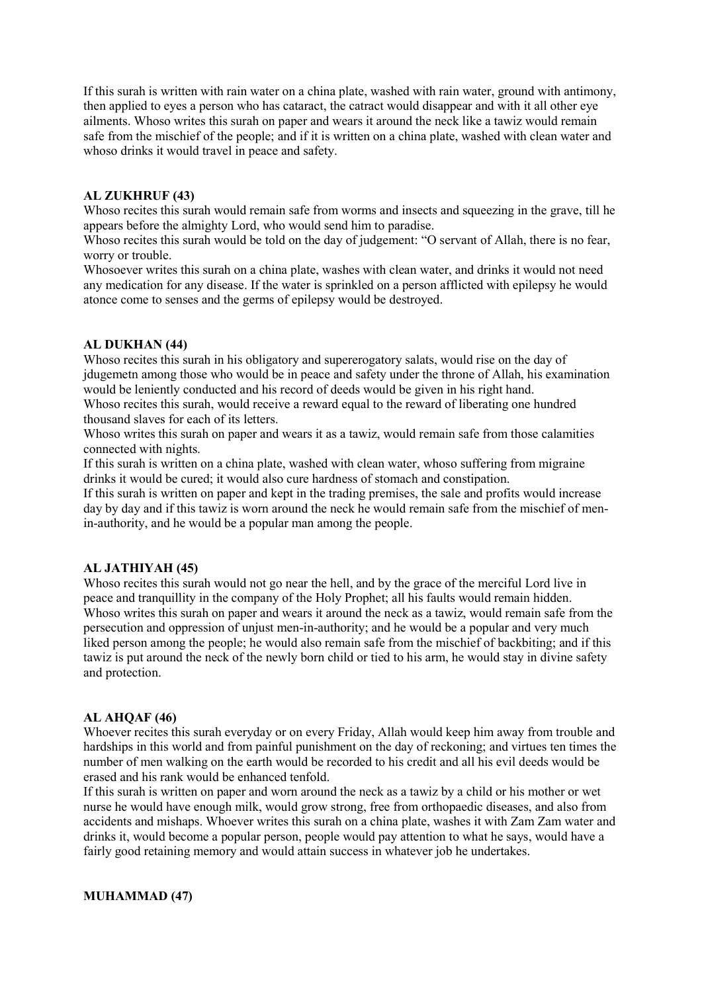If this surah is written with rain water on a china plate, washed with rain water, ground with antimony, then applied to eyes a person who has cataract, the catract would disappear and with it all other eye ailments. Whoso writes this surah on paper and wears it around the neck like a tawiz would remain safe from the mischief of the people; and if it is written on a china plate, washed with clean water and whoso drinks it would travel in peace and safety.

#### AL ZUKHRUF (43)

Whoso recites this surah would remain safe from worms and insects and squeezing in the grave, till he appears before the almighty Lord, who would send him to paradise.

Whoso recites this surah would be told on the day of judgement: "O servant of Allah, there is no fear, worry or trouble.

Whosoever writes this surah on a china plate, washes with clean water, and drinks it would not need any medication for any disease. If the water is sprinkled on a person afflicted with epilepsy he would atonce come to senses and the germs of epilepsy would be destroyed.

#### AL DUKHAN (44)

Whoso recites this surah in his obligatory and supererogatory salats, would rise on the day of jdugemetn among those who would be in peace and safety under the throne of Allah, his examination would be leniently conducted and his record of deeds would be given in his right hand.

Whoso recites this surah, would receive a reward equal to the reward of liberating one hundred thousand slaves for each of its letters.

Whoso writes this surah on paper and wears it as a tawiz, would remain safe from those calamities connected with nights.

If this surah is written on a china plate, washed with clean water, whoso suffering from migraine drinks it would be cured; it would also cure hardness of stomach and constipation.

If this surah is written on paper and kept in the trading premises, the sale and profits would increase day by day and if this tawiz is worn around the neck he would remain safe from the mischief of menin-authority, and he would be a popular man among the people.

#### AL JATHIYAH (45)

Whoso recites this surah would not go near the hell, and by the grace of the merciful Lord live in peace and tranquillity in the company of the Holy Prophet; all his faults would remain hidden. Whoso writes this surah on paper and wears it around the neck as a tawiz, would remain safe from the persecution and oppression of unjust men-in-authority; and he would be a popular and very much liked person among the people; he would also remain safe from the mischief of backbiting; and if this tawiz is put around the neck of the newly born child or tied to his arm, he would stay in divine safety and protection.

#### AL AHQAF (46)

Whoever recites this surah everyday or on every Friday, Allah would keep him away from trouble and hardships in this world and from painful punishment on the day of reckoning; and virtues ten times the number of men walking on the earth would be recorded to his credit and all his evil deeds would be erased and his rank would be enhanced tenfold.

If this surah is written on paper and worn around the neck as a tawiz by a child or his mother or wet nurse he would have enough milk, would grow strong, free from orthopaedic diseases, and also from accidents and mishaps. Whoever writes this surah on a china plate, washes it with Zam Zam water and drinks it, would become a popular person, people would pay attention to what he says, would have a fairly good retaining memory and would attain success in whatever job he undertakes.

## MUHAMMAD (47)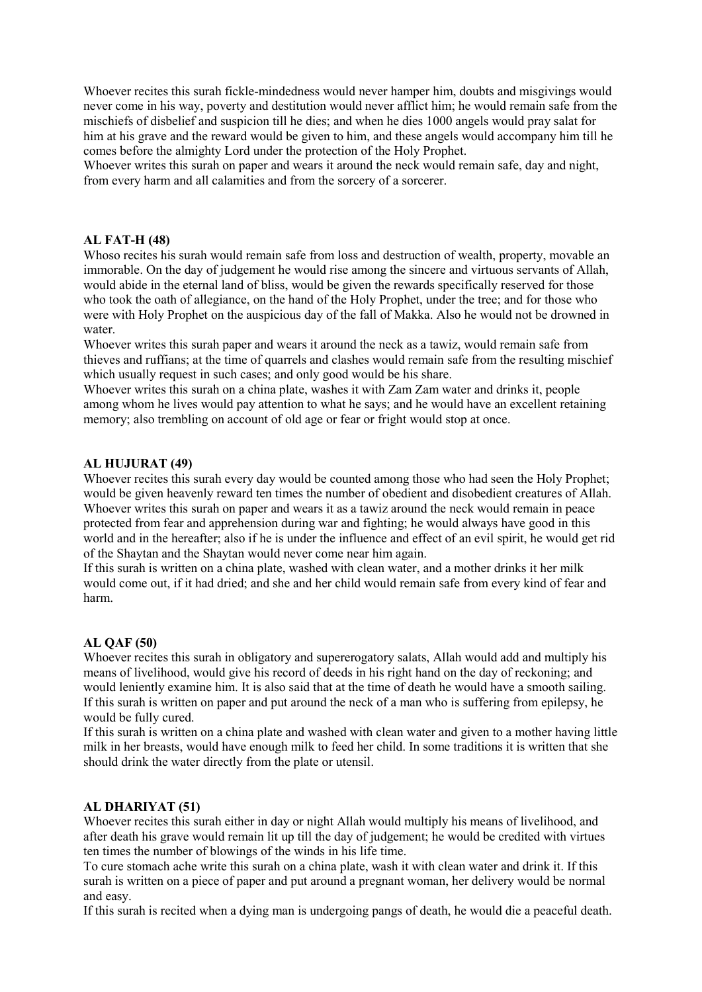Whoever recites this surah fickle-mindedness would never hamper him, doubts and misgivings would never come in his way, poverty and destitution would never afflict him; he would remain safe from the mischiefs of disbelief and suspicion till he dies; and when he dies 1000 angels would pray salat for him at his grave and the reward would be given to him, and these angels would accompany him till he comes before the almighty Lord under the protection of the Holy Prophet.

Whoever writes this surah on paper and wears it around the neck would remain safe, day and night, from every harm and all calamities and from the sorcery of a sorcerer.

#### AL FAT-H (48)

Whoso recites his surah would remain safe from loss and destruction of wealth, property, movable an immorable. On the day of judgement he would rise among the sincere and virtuous servants of Allah, would abide in the eternal land of bliss, would be given the rewards specifically reserved for those who took the oath of allegiance, on the hand of the Holy Prophet, under the tree; and for those who were with Holy Prophet on the auspicious day of the fall of Makka. Also he would not be drowned in water.

Whoever writes this surah paper and wears it around the neck as a tawiz, would remain safe from thieves and ruffians; at the time of quarrels and clashes would remain safe from the resulting mischief which usually request in such cases; and only good would be his share.

Whoever writes this surah on a china plate, washes it with Zam Zam water and drinks it, people among whom he lives would pay attention to what he says; and he would have an excellent retaining memory; also trembling on account of old age or fear or fright would stop at once.

#### AL HUJURAT (49)

Whoever recites this surah every day would be counted among those who had seen the Holy Prophet; would be given heavenly reward ten times the number of obedient and disobedient creatures of Allah. Whoever writes this surah on paper and wears it as a tawiz around the neck would remain in peace protected from fear and apprehension during war and fighting; he would always have good in this world and in the hereafter; also if he is under the influence and effect of an evil spirit, he would get rid of the Shaytan and the Shaytan would never come near him again.

If this surah is written on a china plate, washed with clean water, and a mother drinks it her milk would come out, if it had dried; and she and her child would remain safe from every kind of fear and harm.

## AL QAF (50)

Whoever recites this surah in obligatory and supererogatory salats, Allah would add and multiply his means of livelihood, would give his record of deeds in his right hand on the day of reckoning; and would leniently examine him. It is also said that at the time of death he would have a smooth sailing. If this surah is written on paper and put around the neck of a man who is suffering from epilepsy, he would be fully cured.

If this surah is written on a china plate and washed with clean water and given to a mother having little milk in her breasts, would have enough milk to feed her child. In some traditions it is written that she should drink the water directly from the plate or utensil.

## AL DHARIYAT (51)

Whoever recites this surah either in day or night Allah would multiply his means of livelihood, and after death his grave would remain lit up till the day of judgement; he would be credited with virtues ten times the number of blowings of the winds in his life time.

To cure stomach ache write this surah on a china plate, wash it with clean water and drink it. If this surah is written on a piece of paper and put around a pregnant woman, her delivery would be normal and easy.

If this surah is recited when a dying man is undergoing pangs of death, he would die a peaceful death.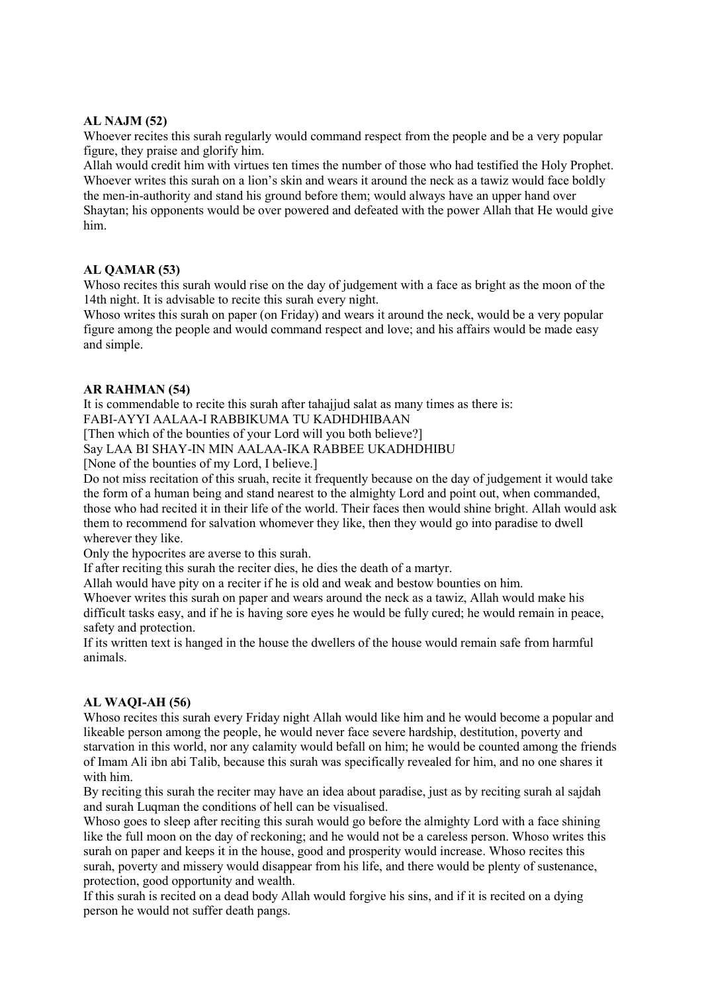# AL NAJM (52)

Whoever recites this surah regularly would command respect from the people and be a very popular figure, they praise and glorify him.

Allah would credit him with virtues ten times the number of those who had testified the Holy Prophet. Whoever writes this surah on a lion's skin and wears it around the neck as a tawiz would face boldly the men-in-authority and stand his ground before them; would always have an upper hand over Shaytan; his opponents would be over powered and defeated with the power Allah that He would give him.

## AL QAMAR (53)

Whoso recites this surah would rise on the day of judgement with a face as bright as the moon of the 14th night. It is advisable to recite this surah every night.

Whoso writes this surah on paper (on Friday) and wears it around the neck, would be a very popular figure among the people and would command respect and love; and his affairs would be made easy and simple.

# AR RAHMAN (54)

It is commendable to recite this surah after tahajjud salat as many times as there is: FABI-AYYI AALAA-I RABBIKUMA TU KADHDHIBAAN

[Then which of the bounties of your Lord will you both believe?]

Say LAA BI SHAY-IN MIN AALAA-IKA RABBEE UKADHDHIBU

[None of the bounties of my Lord, I believe.]

Do not miss recitation of this sruah, recite it frequently because on the day of judgement it would take the form of a human being and stand nearest to the almighty Lord and point out, when commanded, those who had recited it in their life of the world. Their faces then would shine bright. Allah would ask them to recommend for salvation whomever they like, then they would go into paradise to dwell wherever they like.

Only the hypocrites are averse to this surah.

If after reciting this surah the reciter dies, he dies the death of a martyr.

Allah would have pity on a reciter if he is old and weak and bestow bounties on him.

Whoever writes this surah on paper and wears around the neck as a tawiz, Allah would make his difficult tasks easy, and if he is having sore eyes he would be fully cured; he would remain in peace, safety and protection.

If its written text is hanged in the house the dwellers of the house would remain safe from harmful animals.

# AL WAQI-AH (56)

Whoso recites this surah every Friday night Allah would like him and he would become a popular and likeable person among the people, he would never face severe hardship, destitution, poverty and starvation in this world, nor any calamity would befall on him; he would be counted among the friends of Imam Ali ibn abi Talib, because this surah was specifically revealed for him, and no one shares it with him.

By reciting this surah the reciter may have an idea about paradise, just as by reciting surah al sajdah and surah Luqman the conditions of hell can be visualised.

Whoso goes to sleep after reciting this surah would go before the almighty Lord with a face shining like the full moon on the day of reckoning; and he would not be a careless person. Whoso writes this surah on paper and keeps it in the house, good and prosperity would increase. Whoso recites this surah, poverty and missery would disappear from his life, and there would be plenty of sustenance, protection, good opportunity and wealth.

If this surah is recited on a dead body Allah would forgive his sins, and if it is recited on a dying person he would not suffer death pangs.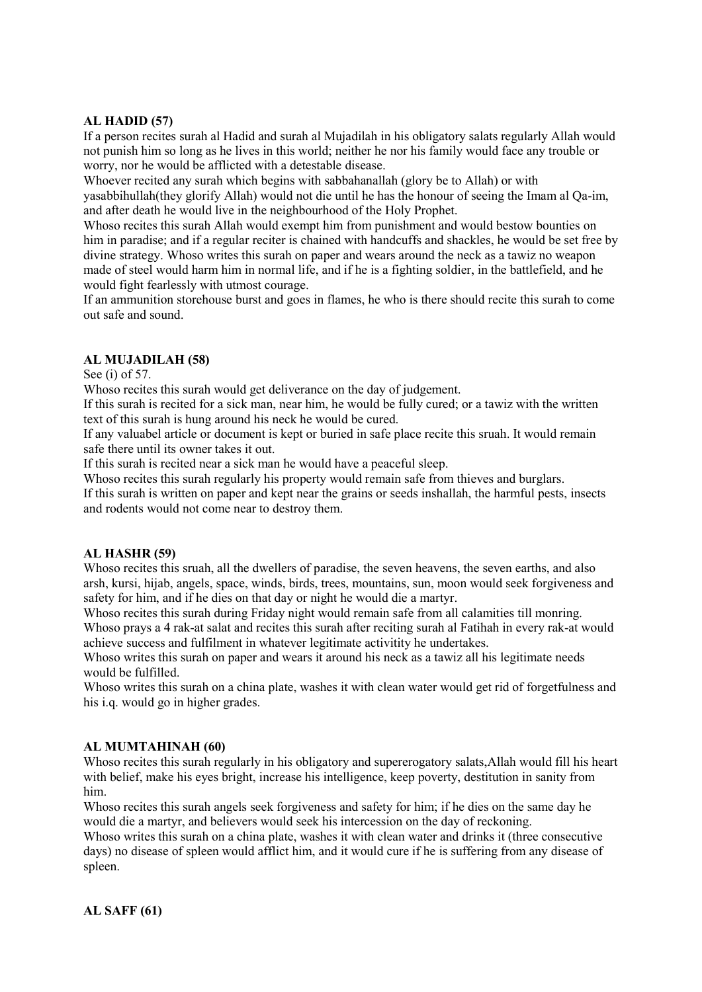# AL HADID (57)

If a person recites surah al Hadid and surah al Mujadilah in his obligatory salats regularly Allah would not punish him so long as he lives in this world; neither he nor his family would face any trouble or worry, nor he would be afflicted with a detestable disease.

Whoever recited any surah which begins with sabbahanallah (glory be to Allah) or with yasabbihullah(they glorify Allah) would not die until he has the honour of seeing the Imam al Qa-im, and after death he would live in the neighbourhood of the Holy Prophet.

Whoso recites this surah Allah would exempt him from punishment and would bestow bounties on him in paradise; and if a regular reciter is chained with handcuffs and shackles, he would be set free by divine strategy. Whoso writes this surah on paper and wears around the neck as a tawiz no weapon made of steel would harm him in normal life, and if he is a fighting soldier, in the battlefield, and he would fight fearlessly with utmost courage.

If an ammunition storehouse burst and goes in flames, he who is there should recite this surah to come out safe and sound.

# AL MUJADILAH (58)

See (i) of 57.

Whoso recites this surah would get deliverance on the day of judgement.

If this surah is recited for a sick man, near him, he would be fully cured; or a tawiz with the written text of this surah is hung around his neck he would be cured.

If any valuabel article or document is kept or buried in safe place recite this sruah. It would remain safe there until its owner takes it out.

If this surah is recited near a sick man he would have a peaceful sleep.

Whoso recites this surah regularly his property would remain safe from thieves and burglars.

If this surah is written on paper and kept near the grains or seeds inshallah, the harmful pests, insects and rodents would not come near to destroy them.

## AL HASHR (59)

Whoso recites this sruah, all the dwellers of paradise, the seven heavens, the seven earths, and also arsh, kursi, hijab, angels, space, winds, birds, trees, mountains, sun, moon would seek forgiveness and safety for him, and if he dies on that day or night he would die a martyr.

Whoso recites this surah during Friday night would remain safe from all calamities till monring. Whoso prays a 4 rak-at salat and recites this surah after reciting surah al Fatihah in every rak-at would achieve success and fulfilment in whatever legitimate activitity he undertakes.

Whoso writes this surah on paper and wears it around his neck as a tawiz all his legitimate needs would be fulfilled.

Whoso writes this surah on a china plate, washes it with clean water would get rid of forgetfulness and his i.q. would go in higher grades.

## AL MUMTAHINAH (60)

Whoso recites this surah regularly in his obligatory and supererogatory salats,Allah would fill his heart with belief, make his eyes bright, increase his intelligence, keep poverty, destitution in sanity from him.

Whoso recites this surah angels seek forgiveness and safety for him; if he dies on the same day he would die a martyr, and believers would seek his intercession on the day of reckoning.

Whoso writes this surah on a china plate, washes it with clean water and drinks it (three consecutive days) no disease of spleen would afflict him, and it would cure if he is suffering from any disease of spleen.

AL SAFF (61)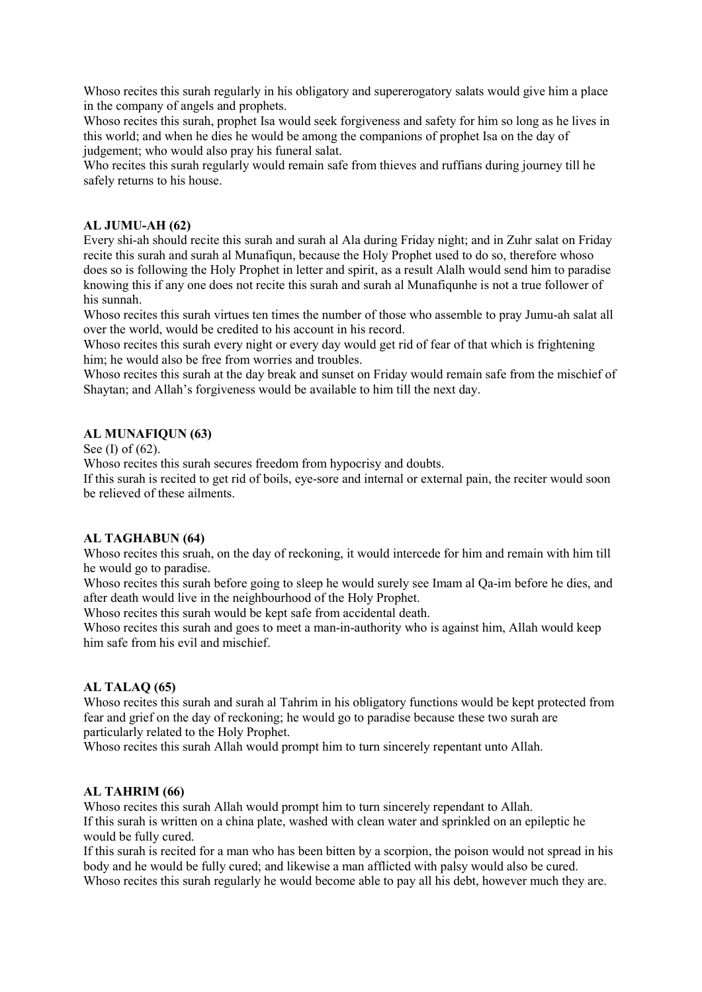Whoso recites this surah regularly in his obligatory and supererogatory salats would give him a place in the company of angels and prophets.

Whoso recites this surah, prophet Isa would seek forgiveness and safety for him so long as he lives in this world; and when he dies he would be among the companions of prophet Isa on the day of judgement; who would also pray his funeral salat.

Who recites this surah regularly would remain safe from thieves and ruffians during journey till he safely returns to his house.

## AL JUMU-AH (62)

Every shi-ah should recite this surah and surah al Ala during Friday night; and in Zuhr salat on Friday recite this surah and surah al Munafiqun, because the Holy Prophet used to do so, therefore whoso does so is following the Holy Prophet in letter and spirit, as a result Alalh would send him to paradise knowing this if any one does not recite this surah and surah al Munafiqunhe is not a true follower of his sunnah.

Whoso recites this surah virtues ten times the number of those who assemble to pray Jumu-ah salat all over the world, would be credited to his account in his record.

Whoso recites this surah every night or every day would get rid of fear of that which is frightening him; he would also be free from worries and troubles.

Whoso recites this surah at the day break and sunset on Friday would remain safe from the mischief of Shaytan; and Allah's forgiveness would be available to him till the next day.

# AL MUNAFIQUN (63)

See (I) of (62).

Whoso recites this surah secures freedom from hypocrisy and doubts.

If this surah is recited to get rid of boils, eye-sore and internal or external pain, the reciter would soon be relieved of these ailments.

## AL TAGHABUN (64)

Whoso recites this sruah, on the day of reckoning, it would intercede for him and remain with him till he would go to paradise.

Whoso recites this surah before going to sleep he would surely see Imam al Qa-im before he dies, and after death would live in the neighbourhood of the Holy Prophet.

Whoso recites this surah would be kept safe from accidental death.

Whoso recites this surah and goes to meet a man-in-authority who is against him. Allah would keep him safe from his evil and mischief.

## AL TALAQ (65)

Whoso recites this surah and surah al Tahrim in his obligatory functions would be kept protected from fear and grief on the day of reckoning; he would go to paradise because these two surah are particularly related to the Holy Prophet.

Whoso recites this surah Allah would prompt him to turn sincerely repentant unto Allah.

## AL TAHRIM (66)

Whoso recites this surah Allah would prompt him to turn sincerely rependant to Allah. If this surah is written on a china plate, washed with clean water and sprinkled on an epileptic he would be fully cured.

If this surah is recited for a man who has been bitten by a scorpion, the poison would not spread in his body and he would be fully cured; and likewise a man afflicted with palsy would also be cured. Whoso recites this surah regularly he would become able to pay all his debt, however much they are.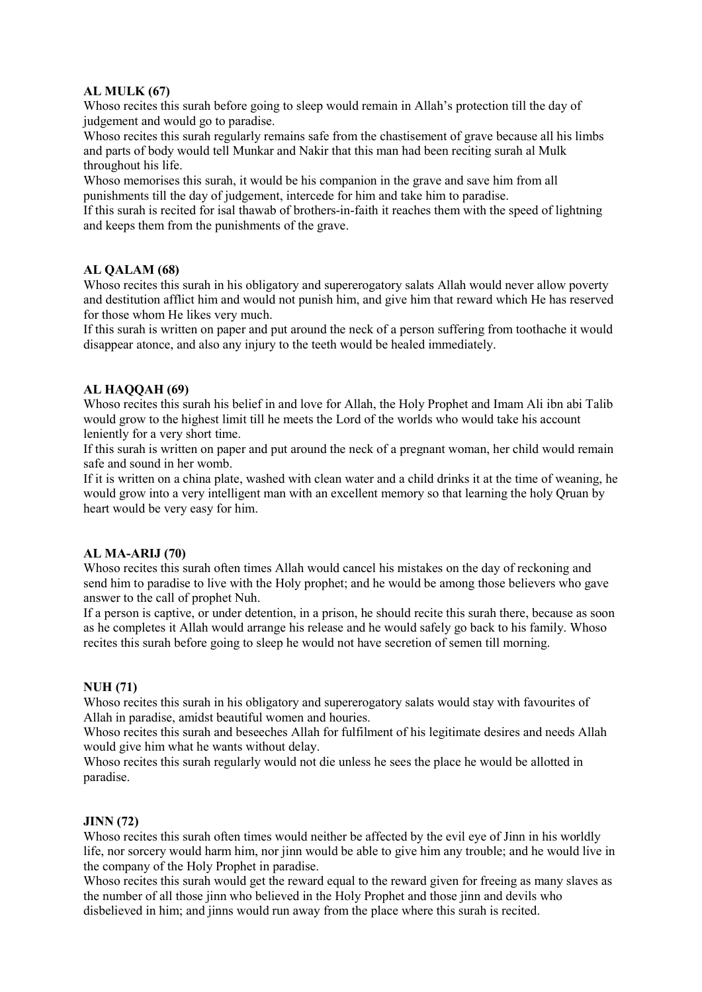# AL MULK (67)

Whoso recites this surah before going to sleep would remain in Allah's protection till the day of judgement and would go to paradise.

Whoso recites this surah regularly remains safe from the chastisement of grave because all his limbs and parts of body would tell Munkar and Nakir that this man had been reciting surah al Mulk throughout his life.

Whoso memorises this surah, it would be his companion in the grave and save him from all punishments till the day of judgement, intercede for him and take him to paradise.

If this surah is recited for isal thawab of brothers-in-faith it reaches them with the speed of lightning and keeps them from the punishments of the grave.

## AL QALAM (68)

Whoso recites this surah in his obligatory and supererogatory salats Allah would never allow poverty and destitution afflict him and would not punish him, and give him that reward which He has reserved for those whom He likes very much.

If this surah is written on paper and put around the neck of a person suffering from toothache it would disappear atonce, and also any injury to the teeth would be healed immediately.

# AL HAQQAH (69)

Whoso recites this surah his belief in and love for Allah, the Holy Prophet and Imam Ali ibn abi Talib would grow to the highest limit till he meets the Lord of the worlds who would take his account leniently for a very short time.

If this surah is written on paper and put around the neck of a pregnant woman, her child would remain safe and sound in her womb.

If it is written on a china plate, washed with clean water and a child drinks it at the time of weaning, he would grow into a very intelligent man with an excellent memory so that learning the holy Qruan by heart would be very easy for him.

## AL MA-ARIJ (70)

Whoso recites this surah often times Allah would cancel his mistakes on the day of reckoning and send him to paradise to live with the Holy prophet; and he would be among those believers who gave answer to the call of prophet Nuh.

If a person is captive, or under detention, in a prison, he should recite this surah there, because as soon as he completes it Allah would arrange his release and he would safely go back to his family. Whoso recites this surah before going to sleep he would not have secretion of semen till morning.

## NUH (71)

Whoso recites this surah in his obligatory and supererogatory salats would stay with favourites of Allah in paradise, amidst beautiful women and houries.

Whoso recites this surah and beseeches Allah for fulfilment of his legitimate desires and needs Allah would give him what he wants without delay.

Whoso recites this surah regularly would not die unless he sees the place he would be allotted in paradise.

## JINN (72)

Whoso recites this surah often times would neither be affected by the evil eye of Jinn in his worldly life, nor sorcery would harm him, nor jinn would be able to give him any trouble; and he would live in the company of the Holy Prophet in paradise.

Whoso recites this surah would get the reward equal to the reward given for freeing as many slaves as the number of all those jinn who believed in the Holy Prophet and those jinn and devils who disbelieved in him; and jinns would run away from the place where this surah is recited.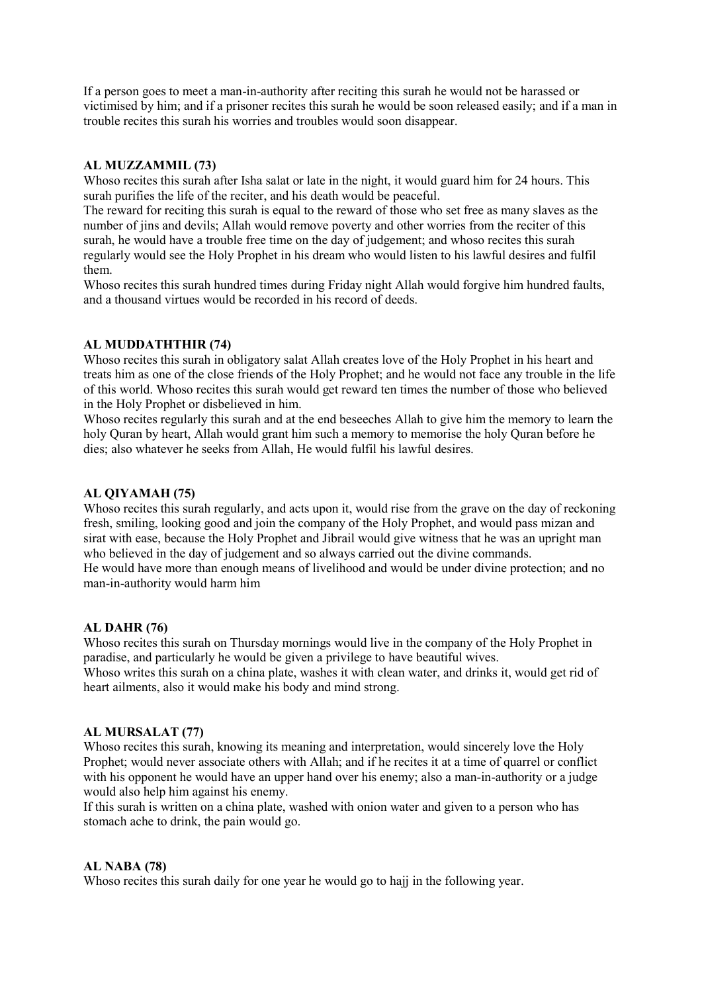If a person goes to meet a man-in-authority after reciting this surah he would not be harassed or victimised by him; and if a prisoner recites this surah he would be soon released easily; and if a man in trouble recites this surah his worries and troubles would soon disappear.

# AL MUZZAMMIL (73)

Whoso recites this surah after Isha salat or late in the night, it would guard him for 24 hours. This surah purifies the life of the reciter, and his death would be peaceful.

The reward for reciting this surah is equal to the reward of those who set free as many slaves as the number of jins and devils; Allah would remove poverty and other worries from the reciter of this surah, he would have a trouble free time on the day of judgement; and whoso recites this surah regularly would see the Holy Prophet in his dream who would listen to his lawful desires and fulfil them.

Whoso recites this surah hundred times during Friday night Allah would forgive him hundred faults, and a thousand virtues would be recorded in his record of deeds.

# AL MUDDATHTHIR (74)

Whoso recites this surah in obligatory salat Allah creates love of the Holy Prophet in his heart and treats him as one of the close friends of the Holy Prophet; and he would not face any trouble in the life of this world. Whoso recites this surah would get reward ten times the number of those who believed in the Holy Prophet or disbelieved in him.

Whoso recites regularly this surah and at the end beseeches Allah to give him the memory to learn the holy Quran by heart, Allah would grant him such a memory to memorise the holy Quran before he dies; also whatever he seeks from Allah, He would fulfil his lawful desires.

## AL QIYAMAH (75)

Whoso recites this surah regularly, and acts upon it, would rise from the grave on the day of reckoning fresh, smiling, looking good and join the company of the Holy Prophet, and would pass mizan and sirat with ease, because the Holy Prophet and Jibrail would give witness that he was an upright man who believed in the day of judgement and so always carried out the divine commands. He would have more than enough means of livelihood and would be under divine protection; and no man-in-authority would harm him

## AL DAHR (76)

Whoso recites this surah on Thursday mornings would live in the company of the Holy Prophet in paradise, and particularly he would be given a privilege to have beautiful wives. Whoso writes this surah on a china plate, washes it with clean water, and drinks it, would get rid of heart ailments, also it would make his body and mind strong.

## AL MURSALAT (77)

Whoso recites this surah, knowing its meaning and interpretation, would sincerely love the Holy Prophet; would never associate others with Allah; and if he recites it at a time of quarrel or conflict with his opponent he would have an upper hand over his enemy; also a man-in-authority or a judge would also help him against his enemy.

If this surah is written on a china plate, washed with onion water and given to a person who has stomach ache to drink, the pain would go.

## AL NABA (78)

Whoso recites this surah daily for one year he would go to hajj in the following year.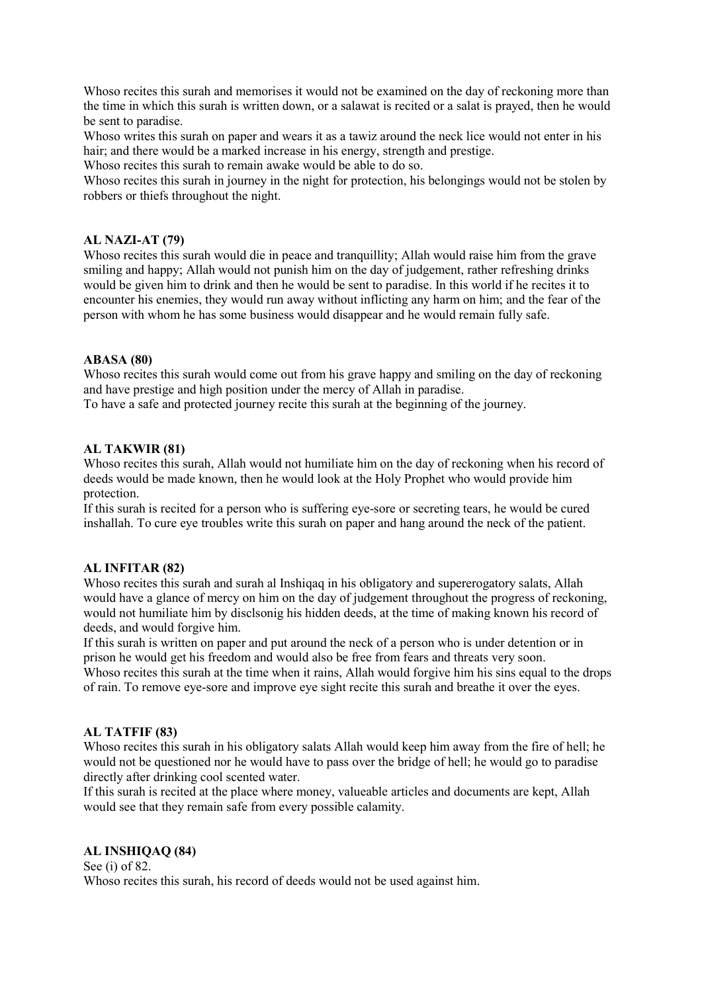Whoso recites this surah and memorises it would not be examined on the day of reckoning more than the time in which this surah is written down, or a salawat is recited or a salat is prayed, then he would be sent to paradise.

Whoso writes this surah on paper and wears it as a tawiz around the neck lice would not enter in his hair; and there would be a marked increase in his energy, strength and prestige.

Whoso recites this surah to remain awake would be able to do so.

Whoso recites this surah in journey in the night for protection, his belongings would not be stolen by robbers or thiefs throughout the night.

## AL NAZI-AT (79)

Whoso recites this surah would die in peace and tranquillity; Allah would raise him from the grave smiling and happy; Allah would not punish him on the day of judgement, rather refreshing drinks would be given him to drink and then he would be sent to paradise. In this world if he recites it to encounter his enemies, they would run away without inflicting any harm on him; and the fear of the person with whom he has some business would disappear and he would remain fully safe.

## ABASA (80)

Whoso recites this surah would come out from his grave happy and smiling on the day of reckoning and have prestige and high position under the mercy of Allah in paradise.

To have a safe and protected journey recite this surah at the beginning of the journey.

## AL TAKWIR (81)

Whoso recites this surah, Allah would not humiliate him on the day of reckoning when his record of deeds would be made known, then he would look at the Holy Prophet who would provide him protection.

If this surah is recited for a person who is suffering eye-sore or secreting tears, he would be cured inshallah. To cure eye troubles write this surah on paper and hang around the neck of the patient.

## AL INFITAR (82)

Whoso recites this surah and surah al Inshiqaq in his obligatory and supererogatory salats, Allah would have a glance of mercy on him on the day of judgement throughout the progress of reckoning, would not humiliate him by disclsonig his hidden deeds, at the time of making known his record of deeds, and would forgive him.

If this surah is written on paper and put around the neck of a person who is under detention or in prison he would get his freedom and would also be free from fears and threats very soon. Whoso recites this surah at the time when it rains, Allah would forgive him his sins equal to the drops of rain. To remove eye-sore and improve eye sight recite this surah and breathe it over the eyes.

## AL TATFIF (83)

Whoso recites this surah in his obligatory salats Allah would keep him away from the fire of hell; he would not be questioned nor he would have to pass over the bridge of hell; he would go to paradise directly after drinking cool scented water.

If this surah is recited at the place where money, valueable articles and documents are kept, Allah would see that they remain safe from every possible calamity.

## AL INSHIQAQ (84)

See (i) of 82. Whoso recites this surah, his record of deeds would not be used against him.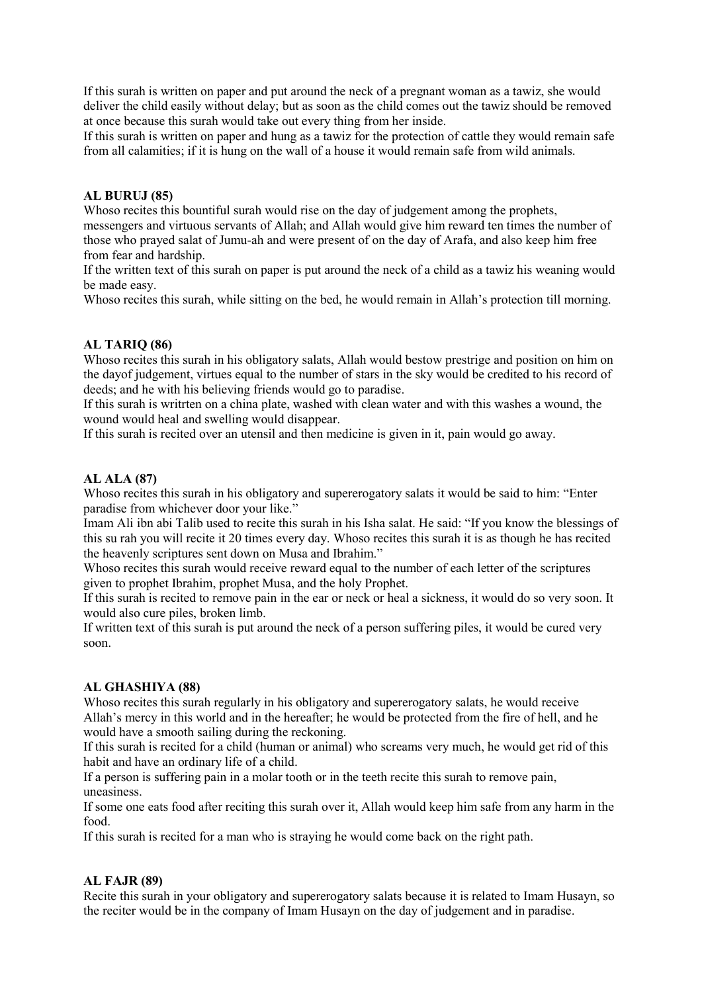If this surah is written on paper and put around the neck of a pregnant woman as a tawiz, she would deliver the child easily without delay; but as soon as the child comes out the tawiz should be removed at once because this surah would take out every thing from her inside.

If this surah is written on paper and hung as a tawiz for the protection of cattle they would remain safe from all calamities; if it is hung on the wall of a house it would remain safe from wild animals.

## AL BURUJ (85)

Whoso recites this bountiful surah would rise on the day of judgement among the prophets, messengers and virtuous servants of Allah; and Allah would give him reward ten times the number of those who prayed salat of Jumu-ah and were present of on the day of Arafa, and also keep him free from fear and hardship.

If the written text of this surah on paper is put around the neck of a child as a tawiz his weaning would be made easy.

Whoso recites this surah, while sitting on the bed, he would remain in Allah's protection till morning.

## AL TARIQ (86)

Whoso recites this surah in his obligatory salats, Allah would bestow prestrige and position on him on the dayof judgement, virtues equal to the number of stars in the sky would be credited to his record of deeds; and he with his believing friends would go to paradise.

If this surah is writrten on a china plate, washed with clean water and with this washes a wound, the wound would heal and swelling would disappear.

If this surah is recited over an utensil and then medicine is given in it, pain would go away.

#### AL ALA (87)

Whoso recites this surah in his obligatory and supererogatory salats it would be said to him: "Enter paradise from whichever door your like."

Imam Ali ibn abi Talib used to recite this surah in his Isha salat. He said: "If you know the blessings of this su rah you will recite it 20 times every day. Whoso recites this surah it is as though he has recited the heavenly scriptures sent down on Musa and Ibrahim."

Whoso recites this surah would receive reward equal to the number of each letter of the scriptures given to prophet Ibrahim, prophet Musa, and the holy Prophet.

If this surah is recited to remove pain in the ear or neck or heal a sickness, it would do so very soon. It would also cure piles, broken limb.

If written text of this surah is put around the neck of a person suffering piles, it would be cured very soon.

#### AL GHASHIYA (88)

Whoso recites this surah regularly in his obligatory and supererogatory salats, he would receive Allah's mercy in this world and in the hereafter; he would be protected from the fire of hell, and he would have a smooth sailing during the reckoning.

If this surah is recited for a child (human or animal) who screams very much, he would get rid of this habit and have an ordinary life of a child.

If a person is suffering pain in a molar tooth or in the teeth recite this surah to remove pain, uneasiness.

If some one eats food after reciting this surah over it, Allah would keep him safe from any harm in the food.

If this surah is recited for a man who is straying he would come back on the right path.

## AL FAJR (89)

Recite this surah in your obligatory and supererogatory salats because it is related to Imam Husayn, so the reciter would be in the company of Imam Husayn on the day of judgement and in paradise.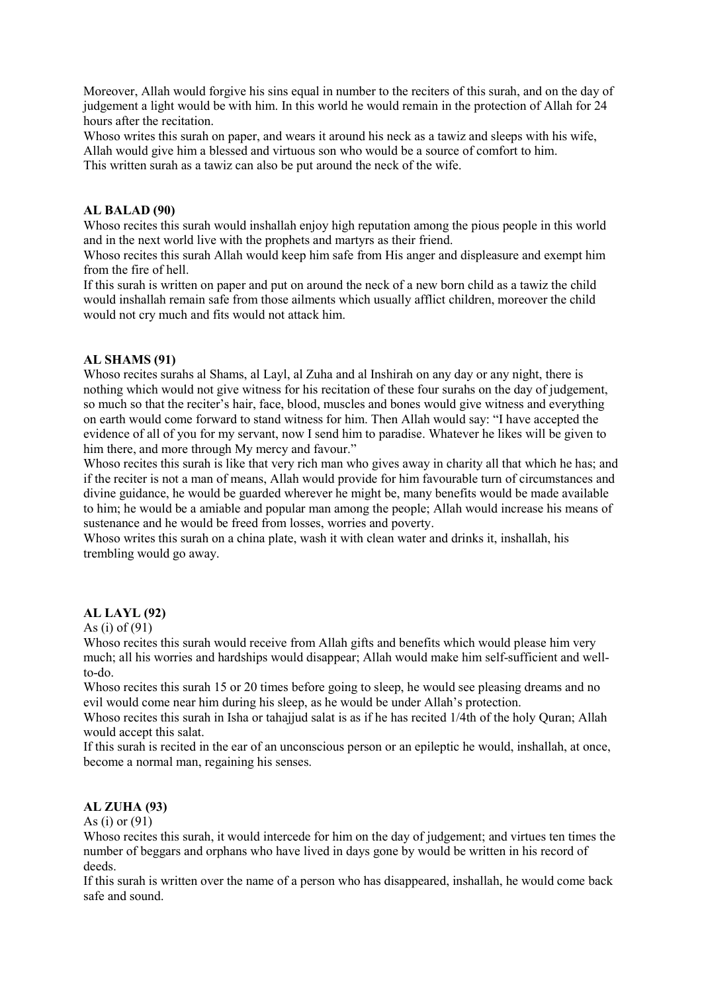Moreover, Allah would forgive his sins equal in number to the reciters of this surah, and on the day of judgement a light would be with him. In this world he would remain in the protection of Allah for 24 hours after the recitation.

Whoso writes this surah on paper, and wears it around his neck as a tawiz and sleeps with his wife, Allah would give him a blessed and virtuous son who would be a source of comfort to him. This written surah as a tawiz can also be put around the neck of the wife.

## AL BALAD (90)

Whoso recites this surah would inshallah enjoy high reputation among the pious people in this world and in the next world live with the prophets and martyrs as their friend.

Whoso recites this surah Allah would keep him safe from His anger and displeasure and exempt him from the fire of hell.

If this surah is written on paper and put on around the neck of a new born child as a tawiz the child would inshallah remain safe from those ailments which usually afflict children, moreover the child would not cry much and fits would not attack him.

## AL SHAMS (91)

Whoso recites surahs al Shams, al Layl, al Zuha and al Inshirah on any day or any night, there is nothing which would not give witness for his recitation of these four surahs on the day of judgement, so much so that the reciter's hair, face, blood, muscles and bones would give witness and everything on earth would come forward to stand witness for him. Then Allah would say: "I have accepted the evidence of all of you for my servant, now I send him to paradise. Whatever he likes will be given to him there, and more through My mercy and favour."

Whoso recites this surah is like that very rich man who gives away in charity all that which he has; and if the reciter is not a man of means, Allah would provide for him favourable turn of circumstances and divine guidance, he would be guarded wherever he might be, many benefits would be made available to him; he would be a amiable and popular man among the people; Allah would increase his means of sustenance and he would be freed from losses, worries and poverty.

Whoso writes this surah on a china plate, wash it with clean water and drinks it, inshallah, his trembling would go away.

# AL LAYL (92)

#### As (i) of  $(91)$

Whoso recites this surah would receive from Allah gifts and benefits which would please him very much; all his worries and hardships would disappear; Allah would make him self-sufficient and wellto-do.

Whoso recites this surah 15 or 20 times before going to sleep, he would see pleasing dreams and no evil would come near him during his sleep, as he would be under Allah's protection.

Whoso recites this surah in Isha or tahajjud salat is as if he has recited 1/4th of the holy Quran; Allah would accept this salat.

If this surah is recited in the ear of an unconscious person or an epileptic he would, inshallah, at once, become a normal man, regaining his senses.

## AL ZUHA (93)

As (i) or  $(91)$ 

Whoso recites this surah, it would intercede for him on the day of judgement; and virtues ten times the number of beggars and orphans who have lived in days gone by would be written in his record of deeds.

If this surah is written over the name of a person who has disappeared, inshallah, he would come back safe and sound.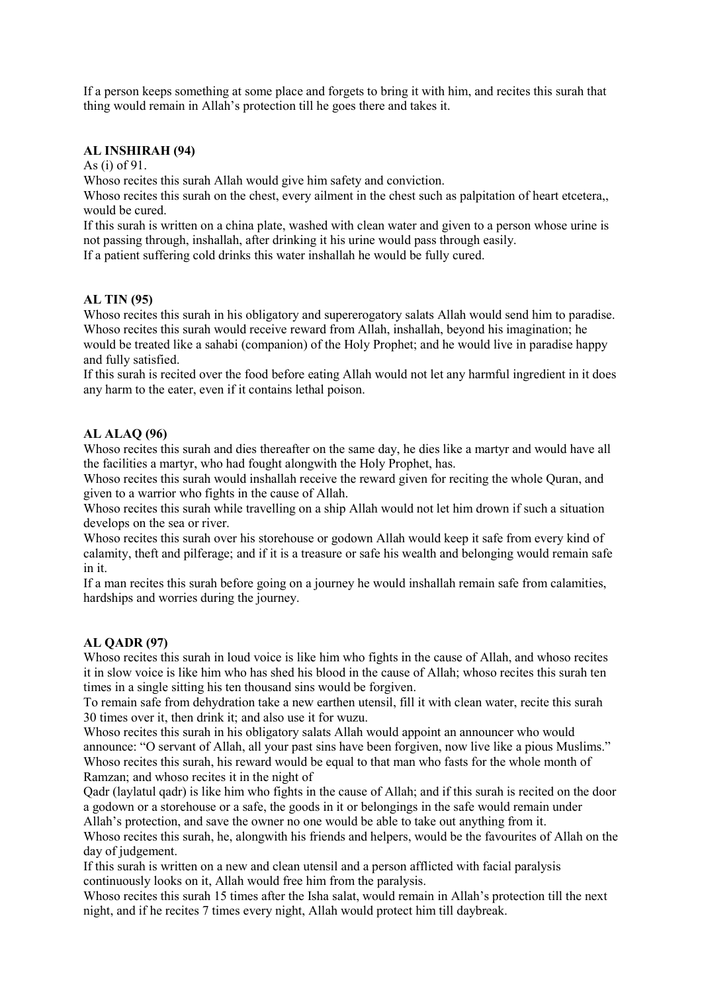If a person keeps something at some place and forgets to bring it with him, and recites this surah that thing would remain in Allah's protection till he goes there and takes it.

# AL INSHIRAH (94)

As (i) of 91.

Whoso recites this surah Allah would give him safety and conviction.

Whoso recites this surah on the chest, every ailment in the chest such as palpitation of heart etcetera, would be cured.

If this surah is written on a china plate, washed with clean water and given to a person whose urine is not passing through, inshallah, after drinking it his urine would pass through easily.

If a patient suffering cold drinks this water inshallah he would be fully cured.

#### AL TIN (95)

Whoso recites this surah in his obligatory and supererogatory salats Allah would send him to paradise. Whoso recites this surah would receive reward from Allah, inshallah, beyond his imagination; he would be treated like a sahabi (companion) of the Holy Prophet; and he would live in paradise happy and fully satisfied.

If this surah is recited over the food before eating Allah would not let any harmful ingredient in it does any harm to the eater, even if it contains lethal poison.

## AL ALAQ (96)

Whoso recites this surah and dies thereafter on the same day, he dies like a martyr and would have all the facilities a martyr, who had fought alongwith the Holy Prophet, has.

Whoso recites this surah would inshallah receive the reward given for reciting the whole Quran, and given to a warrior who fights in the cause of Allah.

Whoso recites this surah while travelling on a ship Allah would not let him drown if such a situation develops on the sea or river.

Whoso recites this surah over his storehouse or godown Allah would keep it safe from every kind of calamity, theft and pilferage; and if it is a treasure or safe his wealth and belonging would remain safe in it.

If a man recites this surah before going on a journey he would inshallah remain safe from calamities, hardships and worries during the journey.

#### AL QADR (97)

Whoso recites this surah in loud voice is like him who fights in the cause of Allah, and whoso recites it in slow voice is like him who has shed his blood in the cause of Allah; whoso recites this surah ten times in a single sitting his ten thousand sins would be forgiven.

To remain safe from dehydration take a new earthen utensil, fill it with clean water, recite this surah 30 times over it, then drink it; and also use it for wuzu.

Whoso recites this surah in his obligatory salats Allah would appoint an announcer who would announce: "O servant of Allah, all your past sins have been forgiven, now live like a pious Muslims." Whoso recites this surah, his reward would be equal to that man who fasts for the whole month of Ramzan; and whoso recites it in the night of

Qadr (laylatul qadr) is like him who fights in the cause of Allah; and if this surah is recited on the door a godown or a storehouse or a safe, the goods in it or belongings in the safe would remain under Allah's protection, and save the owner no one would be able to take out anything from it.

Whoso recites this surah, he, alongwith his friends and helpers, would be the favourites of Allah on the day of judgement.

If this surah is written on a new and clean utensil and a person afflicted with facial paralysis continuously looks on it, Allah would free him from the paralysis.

Whoso recites this surah 15 times after the Isha salat, would remain in Allah's protection till the next night, and if he recites 7 times every night, Allah would protect him till daybreak.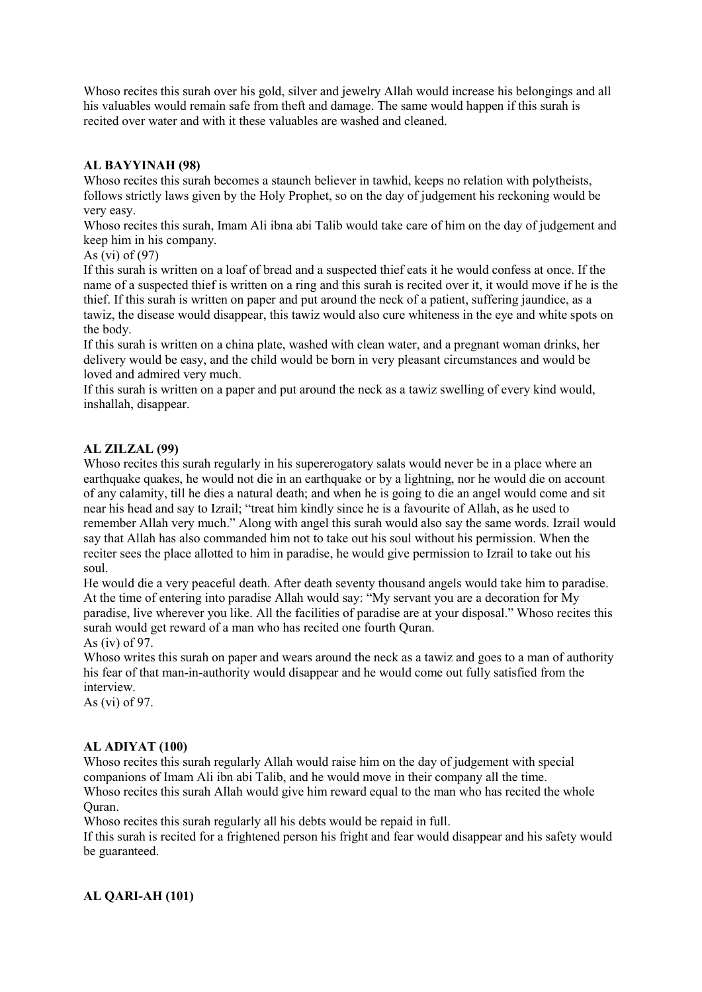Whoso recites this surah over his gold, silver and jewelry Allah would increase his belongings and all his valuables would remain safe from theft and damage. The same would happen if this surah is recited over water and with it these valuables are washed and cleaned.

# AL BAYYINAH (98)

Whoso recites this surah becomes a staunch believer in tawhid, keeps no relation with polytheists, follows strictly laws given by the Holy Prophet, so on the day of judgement his reckoning would be very easy.

Whoso recites this surah, Imam Ali ibna abi Talib would take care of him on the day of judgement and keep him in his company.

As (vi) of (97)

If this surah is written on a loaf of bread and a suspected thief eats it he would confess at once. If the name of a suspected thief is written on a ring and this surah is recited over it, it would move if he is the thief. If this surah is written on paper and put around the neck of a patient, suffering jaundice, as a tawiz, the disease would disappear, this tawiz would also cure whiteness in the eye and white spots on the body.

If this surah is written on a china plate, washed with clean water, and a pregnant woman drinks, her delivery would be easy, and the child would be born in very pleasant circumstances and would be loved and admired very much.

If this surah is written on a paper and put around the neck as a tawiz swelling of every kind would, inshallah, disappear.

# AL ZILZAL (99)

Whoso recites this surah regularly in his supererogatory salats would never be in a place where an earthquake quakes, he would not die in an earthquake or by a lightning, nor he would die on account of any calamity, till he dies a natural death; and when he is going to die an angel would come and sit near his head and say to Izrail; "treat him kindly since he is a favourite of Allah, as he used to remember Allah very much." Along with angel this surah would also say the same words. Izrail would say that Allah has also commanded him not to take out his soul without his permission. When the reciter sees the place allotted to him in paradise, he would give permission to Izrail to take out his soul.

He would die a very peaceful death. After death seventy thousand angels would take him to paradise. At the time of entering into paradise Allah would say: "My servant you are a decoration for My paradise, live wherever you like. All the facilities of paradise are at your disposal." Whoso recites this surah would get reward of a man who has recited one fourth Quran. As (iv) of 97.

Whoso writes this surah on paper and wears around the neck as a tawiz and goes to a man of authority his fear of that man-in-authority would disappear and he would come out fully satisfied from the interview.

As (vi) of 97.

## AL ADIYAT (100)

Whoso recites this surah regularly Allah would raise him on the day of judgement with special companions of Imam Ali ibn abi Talib, and he would move in their company all the time. Whoso recites this surah Allah would give him reward equal to the man who has recited the whole Quran.

Whoso recites this surah regularly all his debts would be repaid in full.

If this surah is recited for a frightened person his fright and fear would disappear and his safety would be guaranteed.

# AL QARI-AH (101)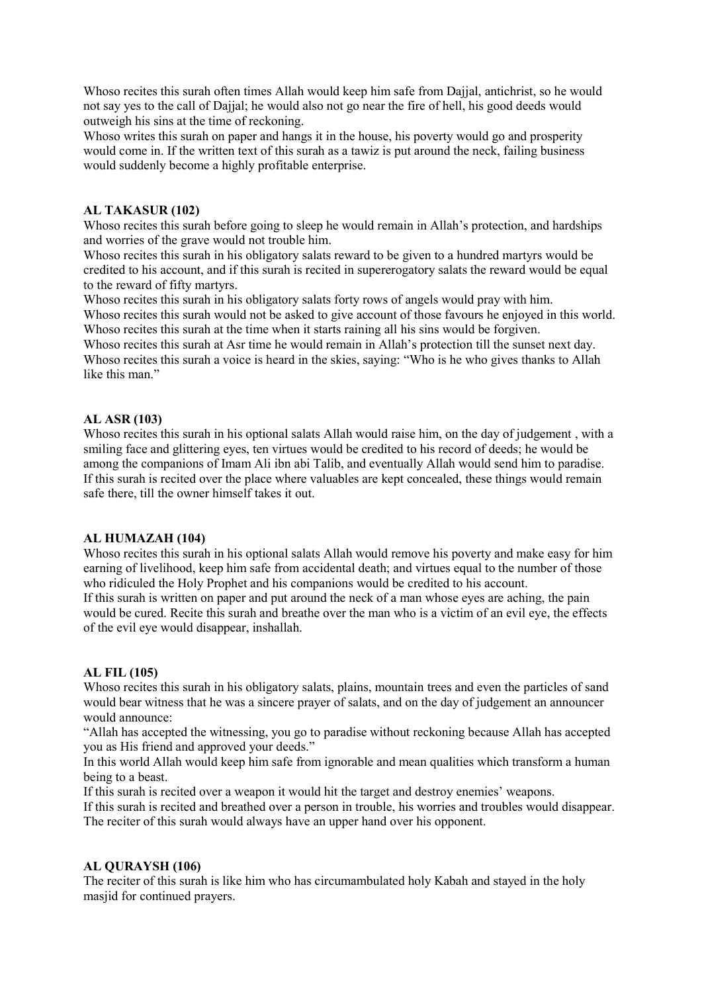Whoso recites this surah often times Allah would keep him safe from Dajjal, antichrist, so he would not say yes to the call of Dajjal; he would also not go near the fire of hell, his good deeds would outweigh his sins at the time of reckoning.

Whoso writes this surah on paper and hangs it in the house, his poverty would go and prosperity would come in. If the written text of this surah as a tawiz is put around the neck, failing business would suddenly become a highly profitable enterprise.

## AL TAKASUR (102)

Whoso recites this surah before going to sleep he would remain in Allah's protection, and hardships and worries of the grave would not trouble him.

Whoso recites this surah in his obligatory salats reward to be given to a hundred martyrs would be credited to his account, and if this surah is recited in supererogatory salats the reward would be equal to the reward of fifty martyrs.

Whoso recites this surah in his obligatory salats forty rows of angels would pray with him. Whoso recites this surah would not be asked to give account of those favours he enjoyed in this world. Whoso recites this surah at the time when it starts raining all his sins would be forgiven.

Whoso recites this surah at Asr time he would remain in Allah's protection till the sunset next day. Whoso recites this surah a voice is heard in the skies, saying: "Who is he who gives thanks to Allah like this man."

# AL ASR (103)

Whoso recites this surah in his optional salats Allah would raise him, on the day of judgement , with a smiling face and glittering eyes, ten virtues would be credited to his record of deeds; he would be among the companions of Imam Ali ibn abi Talib, and eventually Allah would send him to paradise. If this surah is recited over the place where valuables are kept concealed, these things would remain safe there, till the owner himself takes it out.

# AL HUMAZAH (104)

Whoso recites this surah in his optional salats Allah would remove his poverty and make easy for him earning of livelihood, keep him safe from accidental death; and virtues equal to the number of those who ridiculed the Holy Prophet and his companions would be credited to his account.

If this surah is written on paper and put around the neck of a man whose eyes are aching, the pain would be cured. Recite this surah and breathe over the man who is a victim of an evil eye, the effects of the evil eye would disappear, inshallah.

## AL FIL (105)

Whoso recites this surah in his obligatory salats, plains, mountain trees and even the particles of sand would bear witness that he was a sincere prayer of salats, and on the day of judgement an announcer would announce:

"Allah has accepted the witnessing, you go to paradise without reckoning because Allah has accepted you as His friend and approved your deeds."

In this world Allah would keep him safe from ignorable and mean qualities which transform a human being to a beast.

If this surah is recited over a weapon it would hit the target and destroy enemies' weapons.

If this surah is recited and breathed over a person in trouble, his worries and troubles would disappear. The reciter of this surah would always have an upper hand over his opponent.

## AL QURAYSH (106)

The reciter of this surah is like him who has circumambulated holy Kabah and stayed in the holy masjid for continued prayers.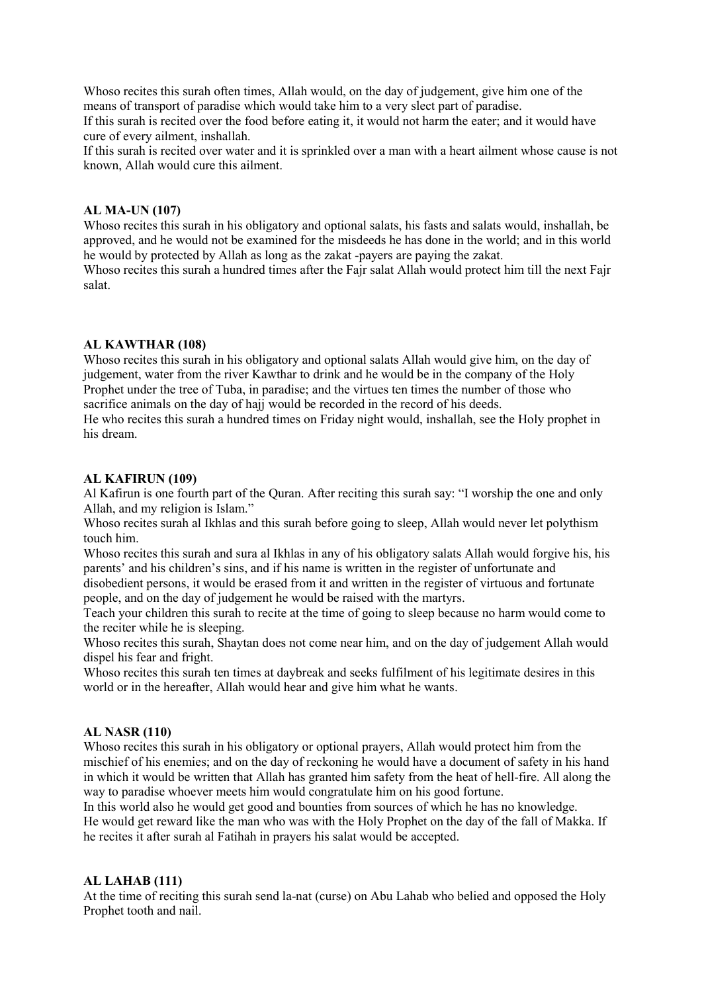Whoso recites this surah often times, Allah would, on the day of judgement, give him one of the means of transport of paradise which would take him to a very slect part of paradise.

If this surah is recited over the food before eating it, it would not harm the eater; and it would have cure of every ailment, inshallah.

If this surah is recited over water and it is sprinkled over a man with a heart ailment whose cause is not known, Allah would cure this ailment.

#### AL MA-UN (107)

Whoso recites this surah in his obligatory and optional salats, his fasts and salats would, inshallah, be approved, and he would not be examined for the misdeeds he has done in the world; and in this world he would by protected by Allah as long as the zakat -payers are paying the zakat.

Whoso recites this surah a hundred times after the Fajr salat Allah would protect him till the next Fajr salat.

#### AL KAWTHAR (108)

Whoso recites this surah in his obligatory and optional salats Allah would give him, on the day of judgement, water from the river Kawthar to drink and he would be in the company of the Holy Prophet under the tree of Tuba, in paradise; and the virtues ten times the number of those who sacrifice animals on the day of hajj would be recorded in the record of his deeds.

He who recites this surah a hundred times on Friday night would, inshallah, see the Holy prophet in his dream.

#### AL KAFIRUN (109)

Al Kafirun is one fourth part of the Quran. After reciting this surah say: "I worship the one and only Allah, and my religion is Islam."

Whoso recites surah al Ikhlas and this surah before going to sleep, Allah would never let polythism touch him.

Whoso recites this surah and sura al Ikhlas in any of his obligatory salats Allah would forgive his, his parents' and his children's sins, and if his name is written in the register of unfortunate and disobedient persons, it would be erased from it and written in the register of virtuous and fortunate

people, and on the day of judgement he would be raised with the martyrs.

Teach your children this surah to recite at the time of going to sleep because no harm would come to the reciter while he is sleeping.

Whoso recites this surah, Shaytan does not come near him, and on the day of judgement Allah would dispel his fear and fright.

Whoso recites this surah ten times at daybreak and seeks fulfilment of his legitimate desires in this world or in the hereafter, Allah would hear and give him what he wants.

## AL NASR (110)

Whoso recites this surah in his obligatory or optional prayers, Allah would protect him from the mischief of his enemies; and on the day of reckoning he would have a document of safety in his hand in which it would be written that Allah has granted him safety from the heat of hell-fire. All along the way to paradise whoever meets him would congratulate him on his good fortune.

In this world also he would get good and bounties from sources of which he has no knowledge. He would get reward like the man who was with the Holy Prophet on the day of the fall of Makka. If he recites it after surah al Fatihah in prayers his salat would be accepted.

#### AL LAHAB (111)

At the time of reciting this surah send la-nat (curse) on Abu Lahab who belied and opposed the Holy Prophet tooth and nail.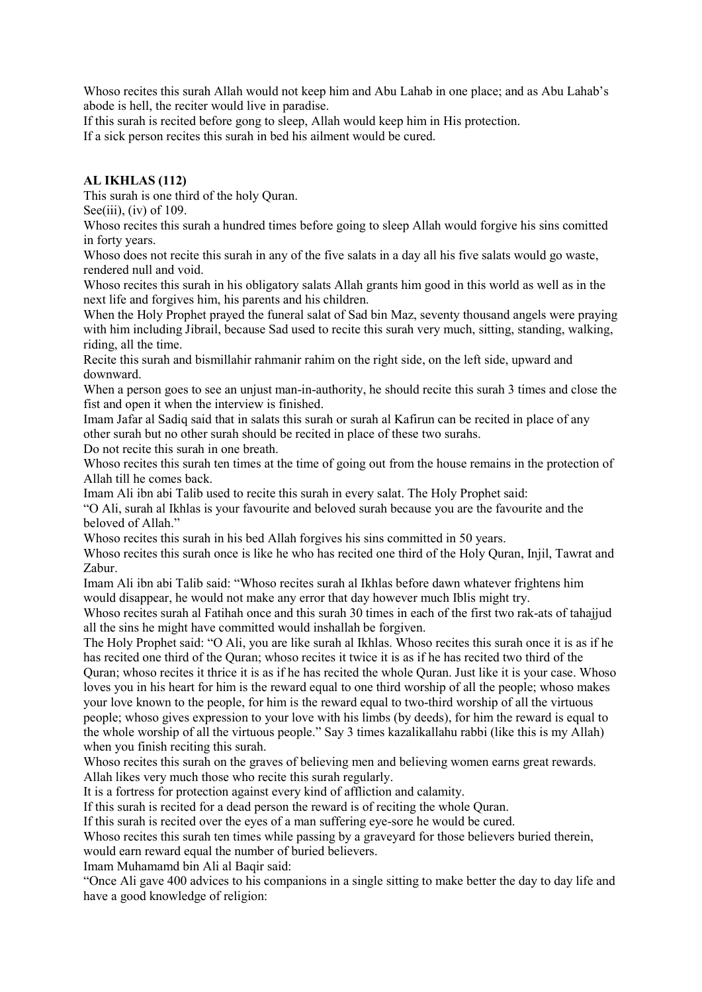Whoso recites this surah Allah would not keep him and Abu Lahab in one place; and as Abu Lahab's abode is hell, the reciter would live in paradise.

If this surah is recited before gong to sleep, Allah would keep him in His protection. If a sick person recites this surah in bed his ailment would be cured.

# AL IKHLAS (112)

This surah is one third of the holy Quran.

See(iii), (iv) of  $109$ .

Whoso recites this surah a hundred times before going to sleep Allah would forgive his sins comitted in forty years.

Whoso does not recite this surah in any of the five salats in a day all his five salats would go waste, rendered null and void.

Whoso recites this surah in his obligatory salats Allah grants him good in this world as well as in the next life and forgives him, his parents and his children.

When the Holy Prophet prayed the funeral salat of Sad bin Maz, seventy thousand angels were praying with him including Jibrail, because Sad used to recite this surah very much, sitting, standing, walking, riding, all the time.

Recite this surah and bismillahir rahmanir rahim on the right side, on the left side, upward and downward.

When a person goes to see an unjust man-in-authority, he should recite this surah 3 times and close the fist and open it when the interview is finished.

Imam Jafar al Sadiq said that in salats this surah or surah al Kafirun can be recited in place of any other surah but no other surah should be recited in place of these two surahs.

Do not recite this surah in one breath.

Whoso recites this surah ten times at the time of going out from the house remains in the protection of Allah till he comes back.

Imam Ali ibn abi Talib used to recite this surah in every salat. The Holy Prophet said:

"O Ali, surah al Ikhlas is your favourite and beloved surah because you are the favourite and the beloved of Allah."

Whoso recites this surah in his bed Allah forgives his sins committed in 50 years.

Whoso recites this surah once is like he who has recited one third of the Holy Quran, Injil, Tawrat and Zabur.

Imam Ali ibn abi Talib said: "Whoso recites surah al Ikhlas before dawn whatever frightens him would disappear, he would not make any error that day however much Iblis might try.

Whoso recites surah al Fatihah once and this surah 30 times in each of the first two rak-ats of tahajjud all the sins he might have committed would inshallah be forgiven.

The Holy Prophet said: "O Ali, you are like surah al Ikhlas. Whoso recites this surah once it is as if he has recited one third of the Quran; whoso recites it twice it is as if he has recited two third of the

Quran; whoso recites it thrice it is as if he has recited the whole Quran. Just like it is your case. Whoso loves you in his heart for him is the reward equal to one third worship of all the people; whoso makes your love known to the people, for him is the reward equal to two-third worship of all the virtuous people; whoso gives expression to your love with his limbs (by deeds), for him the reward is equal to the whole worship of all the virtuous people." Say 3 times kazalikallahu rabbi (like this is my Allah) when you finish reciting this surah.

Whoso recites this surah on the graves of believing men and believing women earns great rewards. Allah likes very much those who recite this surah regularly.

It is a fortress for protection against every kind of affliction and calamity.

If this surah is recited for a dead person the reward is of reciting the whole Quran.

If this surah is recited over the eyes of a man suffering eye-sore he would be cured.

Whoso recites this surah ten times while passing by a graveyard for those believers buried therein,

would earn reward equal the number of buried believers.

Imam Muhamamd bin Ali al Baqir said:

"Once Ali gave 400 advices to his companions in a single sitting to make better the day to day life and have a good knowledge of religion: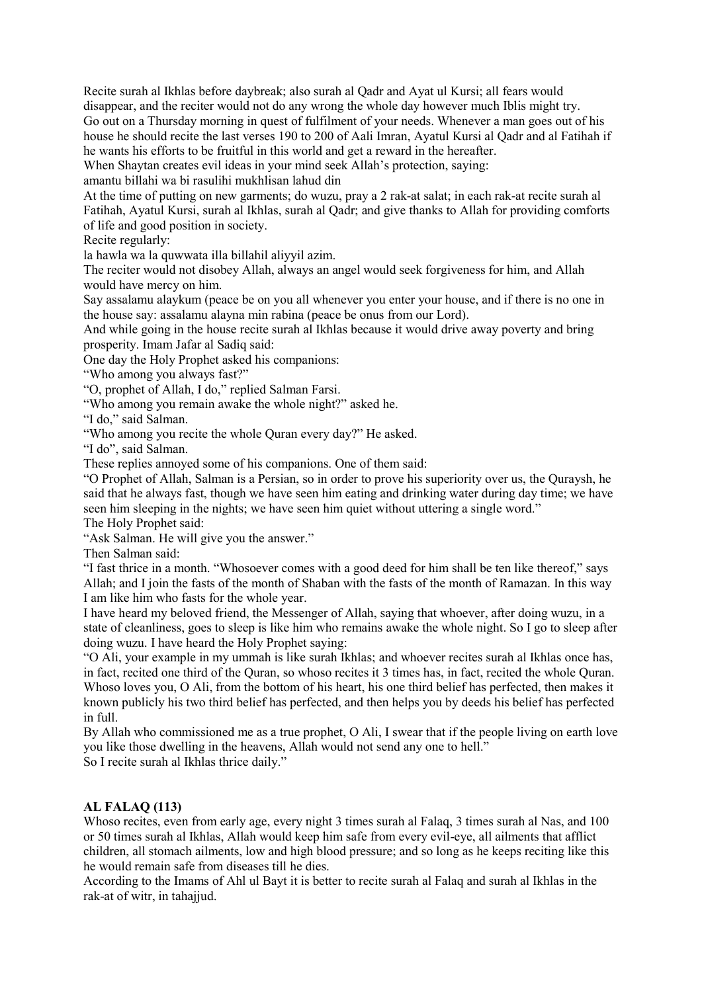Recite surah al Ikhlas before daybreak; also surah al Qadr and Ayat ul Kursi; all fears would disappear, and the reciter would not do any wrong the whole day however much Iblis might try. Go out on a Thursday morning in quest of fulfilment of your needs. Whenever a man goes out of his house he should recite the last verses 190 to 200 of Aali Imran, Ayatul Kursi al Qadr and al Fatihah if he wants his efforts to be fruitful in this world and get a reward in the hereafter.

When Shaytan creates evil ideas in your mind seek Allah's protection, saying:

amantu billahi wa bi rasulihi mukhlisan lahud din

At the time of putting on new garments; do wuzu, pray a 2 rak-at salat; in each rak-at recite surah al Fatihah, Ayatul Kursi, surah al Ikhlas, surah al Qadr; and give thanks to Allah for providing comforts of life and good position in society.

Recite regularly:

la hawla wa la quwwata illa billahil aliyyil azim.

The reciter would not disobey Allah, always an angel would seek forgiveness for him, and Allah would have mercy on him.

Say assalamu alaykum (peace be on you all whenever you enter your house, and if there is no one in the house say: assalamu alayna min rabina (peace be onus from our Lord).

And while going in the house recite surah all Ikhlas because it would drive away poverty and bring prosperity. Imam Jafar al Sadiq said:

One day the Holy Prophet asked his companions:

"Who among you always fast?"

"O, prophet of Allah, I do," replied Salman Farsi.

"Who among you remain awake the whole night?" asked he.

"I do," said Salman.

"Who among you recite the whole Quran every day?" He asked.

"I do", said Salman.

These replies annoyed some of his companions. One of them said:

"O Prophet of Allah, Salman is a Persian, so in order to prove his superiority over us, the Quraysh, he said that he always fast, though we have seen him eating and drinking water during day time; we have seen him sleeping in the nights; we have seen him quiet without uttering a single word."

The Holy Prophet said:

"Ask Salman. He will give you the answer."

Then Salman said:

"I fast thrice in a month. "Whosoever comes with a good deed for him shall be ten like thereof," says Allah; and I join the fasts of the month of Shaban with the fasts of the month of Ramazan. In this way I am like him who fasts for the whole year.

I have heard my beloved friend, the Messenger of Allah, saying that whoever, after doing wuzu, in a state of cleanliness, goes to sleep is like him who remains awake the whole night. So I go to sleep after doing wuzu. I have heard the Holy Prophet saying:

"O Ali, your example in my ummah is like surah Ikhlas; and whoever recites surah al Ikhlas once has, in fact, recited one third of the Quran, so whoso recites it 3 times has, in fact, recited the whole Quran. Whoso loves you, O Ali, from the bottom of his heart, his one third belief has perfected, then makes it known publicly his two third belief has perfected, and then helps you by deeds his belief has perfected in full.

By Allah who commissioned me as a true prophet, O Ali, I swear that if the people living on earth love you like those dwelling in the heavens, Allah would not send any one to hell."

So I recite surah al Ikhlas thrice daily."

## AL FALAQ (113)

Whoso recites, even from early age, every night 3 times surah al Falaq, 3 times surah al Nas, and 100 or 50 times surah al Ikhlas, Allah would keep him safe from every evil-eye, all ailments that afflict children, all stomach ailments, low and high blood pressure; and so long as he keeps reciting like this he would remain safe from diseases till he dies.

According to the Imams of Ahl ul Bayt it is better to recite surah al Falaq and surah al Ikhlas in the rak-at of witr, in tahajjud.